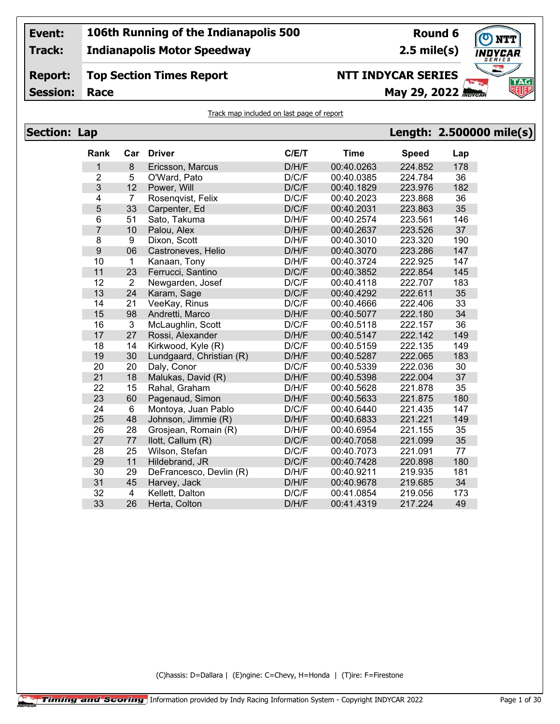**Track: Indianapolis Motor Speedway**

## **Round 6**

**2.5 mile(s)**

#### **Report: Top Section Times Report**

**Session: Race May 29, 2022 May 29, 2022** 

## **NTT INDYCAR SERIES**



Track map included on last page of report

| <b>Section: Lap</b> |                  |                         |                          |       |             |              | Length: 2.500000 mile(s) |
|---------------------|------------------|-------------------------|--------------------------|-------|-------------|--------------|--------------------------|
|                     | Rank             | Car                     | <b>Driver</b>            | C/E/T | <b>Time</b> | <b>Speed</b> | Lap                      |
|                     | 1                | 8                       | Ericsson, Marcus         | D/H/F | 00:40.0263  | 224.852      | 178                      |
|                     | $\overline{2}$   | 5                       | O'Ward, Pato             | D/C/F | 00:40.0385  | 224.784      | 36                       |
|                     | 3                | 12                      | Power, Will              | D/C/F | 00:40.1829  | 223.976      | 182                      |
|                     | 4                | 7                       | Rosenqvist, Felix        | D/C/F | 00:40.2023  | 223.868      | 36                       |
|                     | 5                | 33                      | Carpenter, Ed            | D/C/F | 00:40.2031  | 223.863      | 35                       |
|                     | 6                | 51                      | Sato, Takuma             | D/H/F | 00:40.2574  | 223.561      | 146                      |
|                     | $\overline{7}$   | 10                      | Palou, Alex              | D/H/F | 00:40.2637  | 223.526      | 37                       |
|                     | 8                | 9                       | Dixon, Scott             | D/H/F | 00:40.3010  | 223.320      | 190                      |
|                     | $\boldsymbol{9}$ | 06                      | Castroneves, Helio       | D/H/F | 00:40.3070  | 223.286      | 147                      |
|                     | 10               | $\mathbf{1}$            | Kanaan, Tony             | D/H/F | 00:40.3724  | 222.925      | 147                      |
|                     | 11               | 23                      | Ferrucci, Santino        | D/C/F | 00:40.3852  | 222.854      | 145                      |
|                     | 12               | $\overline{2}$          | Newgarden, Josef         | D/C/F | 00:40.4118  | 222.707      | 183                      |
|                     | 13               | 24                      | Karam, Sage              | D/C/F | 00:40.4292  | 222.611      | 35                       |
|                     | 14               | 21                      | VeeKay, Rinus            | D/C/F | 00:40.4666  | 222.406      | 33                       |
|                     | 15               | 98                      | Andretti, Marco          | D/H/F | 00:40.5077  | 222.180      | 34                       |
|                     | 16               | 3                       | McLaughlin, Scott        | D/C/F | 00:40.5118  | 222.157      | 36                       |
|                     | 17               | 27                      | Rossi, Alexander         | D/H/F | 00:40.5147  | 222.142      | 149                      |
|                     | 18               | 14                      | Kirkwood, Kyle (R)       | D/C/F | 00:40.5159  | 222.135      | 149                      |
|                     | 19               | 30                      | Lundgaard, Christian (R) | D/H/F | 00:40.5287  | 222.065      | 183                      |
|                     | 20               | 20                      | Daly, Conor              | D/C/F | 00:40.5339  | 222.036      | 30                       |
|                     | 21               | 18                      | Malukas, David (R)       | D/H/F | 00:40.5398  | 222.004      | 37                       |
|                     | 22               | 15                      | Rahal, Graham            | D/H/F | 00:40.5628  | 221.878      | 35                       |
|                     | 23               | 60                      | Pagenaud, Simon          | D/H/F | 00:40.5633  | 221.875      | 180                      |
|                     | 24               | 6                       | Montoya, Juan Pablo      | D/C/F | 00:40.6440  | 221.435      | 147                      |
|                     | 25               | 48                      | Johnson, Jimmie (R)      | D/H/F | 00:40.6833  | 221.221      | 149                      |
|                     | 26               | 28                      | Grosjean, Romain (R)     | D/H/F | 00:40.6954  | 221.155      | 35                       |
|                     | 27               | 77                      | llott, Callum (R)        | D/C/F | 00:40.7058  | 221.099      | 35                       |
|                     | 28               | 25                      | Wilson, Stefan           | D/C/F | 00:40.7073  | 221.091      | 77                       |
|                     | 29               | 11                      | Hildebrand, JR           | D/C/F | 00:40.7428  | 220.898      | 180                      |
|                     | 30               | 29                      | DeFrancesco, Devlin (R)  | D/H/F | 00:40.9211  | 219.935      | 181                      |
|                     | 31               | 45                      | Harvey, Jack             | D/H/F | 00:40.9678  | 219.685      | 34                       |
|                     | 32               | $\overline{\mathbf{4}}$ | Kellett, Dalton          | D/C/F | 00:41.0854  | 219.056      | 173                      |
|                     | 33               | 26                      | Herta, Colton            | D/H/F | 00:41.4319  | 217.224      | 49                       |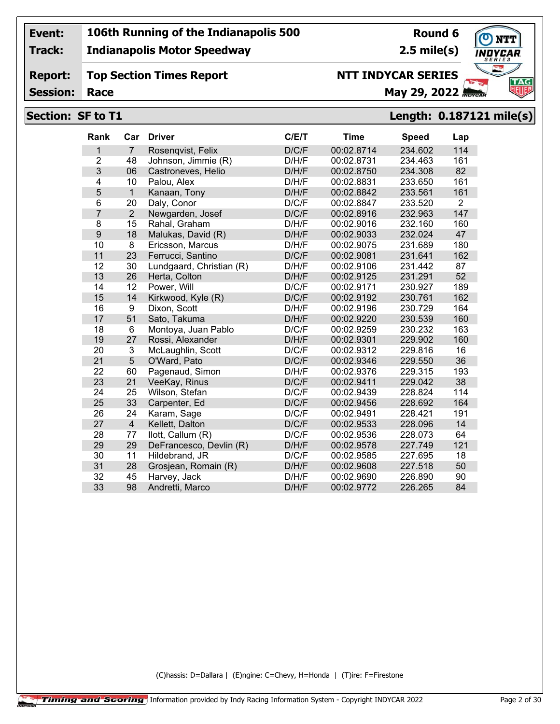**Track:**

#### **Indianapolis Motor Speedway**

## **Round 6 2.5 mile(s)**

**NTT INDYCAR SERIES**

**TAG** 

#### **Report: Session: Top Section Times Report Race May 29, 2022** *May 29, 2022*

#### **Section: SF to T1 Length: 0.187121 mile(s)**

| Rank           | Car            | <b>Driver</b>            | C/E/T | <b>Time</b> | <b>Speed</b> | Lap            |
|----------------|----------------|--------------------------|-------|-------------|--------------|----------------|
| 1              | $\overline{7}$ | Rosengvist, Felix        | D/C/F | 00:02.8714  | 234.602      | 114            |
| $\overline{2}$ | 48             | Johnson, Jimmie (R)      | D/H/F | 00:02.8731  | 234.463      | 161            |
| 3              | 06             | Castroneves, Helio       | D/H/F | 00:02.8750  | 234.308      | 82             |
| 4              | 10             | Palou, Alex              | D/H/F | 00:02.8831  | 233.650      | 161            |
| 5              | $\mathbf{1}$   | Kanaan, Tony             | D/H/F | 00:02.8842  | 233.561      | 161            |
| 6              | 20             | Daly, Conor              | D/C/F | 00:02.8847  | 233.520      | $\overline{2}$ |
| $\overline{7}$ | $\overline{2}$ | Newgarden, Josef         | D/C/F | 00:02.8916  | 232.963      | 147            |
| 8              | 15             | Rahal, Graham            | D/H/F | 00:02.9016  | 232.160      | 160            |
| 9              | 18             | Malukas, David (R)       | D/H/F | 00:02.9033  | 232.024      | 47             |
| 10             | 8              | Ericsson, Marcus         | D/H/F | 00:02.9075  | 231.689      | 180            |
| 11             | 23             | Ferrucci, Santino        | D/C/F | 00:02.9081  | 231.641      | 162            |
| 12             | 30             | Lundgaard, Christian (R) | D/H/F | 00:02.9106  | 231.442      | 87             |
| 13             | 26             | Herta, Colton            | D/H/F | 00:02.9125  | 231.291      | 52             |
| 14             | 12             | Power, Will              | D/C/F | 00:02.9171  | 230.927      | 189            |
| 15             | 14             | Kirkwood, Kyle (R)       | D/C/F | 00:02.9192  | 230.761      | 162            |
| 16             | 9              | Dixon, Scott             | D/H/F | 00:02.9196  | 230.729      | 164            |
| 17             | 51             | Sato, Takuma             | D/H/F | 00:02.9220  | 230.539      | 160            |
| 18             | 6              | Montoya, Juan Pablo      | D/C/F | 00:02.9259  | 230.232      | 163            |
| 19             | 27             | Rossi, Alexander         | D/H/F | 00:02.9301  | 229.902      | 160            |
| 20             | 3              | McLaughlin, Scott        | D/C/F | 00:02.9312  | 229.816      | 16             |
| 21             | 5              | O'Ward, Pato             | D/C/F | 00:02.9346  | 229.550      | 36             |
| 22             | 60             | Pagenaud, Simon          | D/H/F | 00:02.9376  | 229.315      | 193            |
| 23             | 21             | VeeKay, Rinus            | D/C/F | 00:02.9411  | 229.042      | 38             |
| 24             | 25             | Wilson, Stefan           | D/C/F | 00:02.9439  | 228.824      | 114            |
| 25             | 33             | Carpenter, Ed            | D/C/F | 00:02.9456  | 228.692      | 164            |
| 26             | 24             | Karam, Sage              | D/C/F | 00:02.9491  | 228.421      | 191            |
| 27             | $\overline{4}$ | Kellett, Dalton          | D/C/F | 00:02.9533  | 228.096      | 14             |
| 28             | 77             | llott, Callum (R)        | D/C/F | 00:02.9536  | 228.073      | 64             |
| 29             | 29             | DeFrancesco, Devlin (R)  | D/H/F | 00:02.9578  | 227.749      | 121            |
| 30             | 11             | Hildebrand, JR           | D/C/F | 00:02.9585  | 227.695      | 18             |
| 31             | 28             | Grosjean, Romain (R)     | D/H/F | 00:02.9608  | 227.518      | 50             |
| 32             | 45             | Harvey, Jack             | D/H/F | 00:02.9690  | 226.890      | 90             |
| 33             | 98             | Andretti, Marco          | D/H/F | 00:02.9772  | 226.265      | 84             |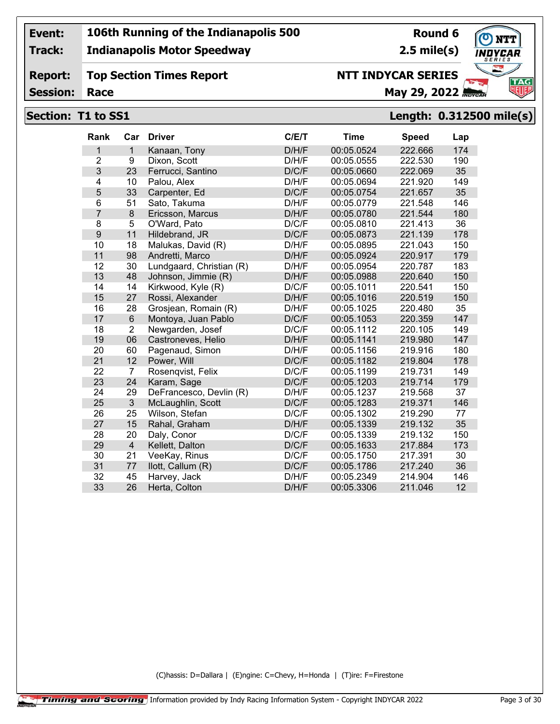**Track:**

**Report:**

#### **Indianapolis Motor Speedway**

## **Top Section Times Report**

**Round 6 2.5 mile(s)**

**NTT INDYCAR SERIES**

**NTT** DYCAR **TAG** 

#### **Session:**

# **Race May 29, 2022**

#### **Rank Car Driver C/E/T Time Speed Lap** 1 Kanaan, Tony D/H/F 00:05.0524 222.666 174 9 Dixon, Scott D/H/F 00:05.0555 222.530 190 23 Ferrucci, Santino D/C/F 00:05.0660 222.069 35 10 Palou, Alex D/H/F 00:05.0694 221.920 149 33 Carpenter, Ed D/C/F 00:05.0754 221.657 35 51 Sato, Takuma D/H/F 00:05.0779 221.548 146 8 Ericsson, Marcus D/H/F 00:05.0780 221.544 180 5 O'Ward, Pato D/C/F 00:05.0810 221.413 36 11 Hildebrand, JR D/C/F 00:05.0873 221.139 178 18 Malukas, David (R) D/H/F 00:05.0895 221.043 150 98 Andretti, Marco D/H/F 00:05.0924 220.917 179 30 Lundgaard, Christian (R) D/H/F 00:05.0954 220.787 183 48 Johnson, Jimmie (R) D/H/F 00:05.0988 220.640 150 14 Kirkwood, Kyle (R) D/C/F 00:05.1011 220.541 150 27 Rossi, Alexander D/H/F 00:05.1016 220.519 150 28 Grosjean, Romain (R) D/H/F 00:05.1025 220.480 35 6 Montoya, Juan Pablo D/C/F 00:05.1053 220.359 147 2 Newgarden, Josef D/C/F 00:05.1112 220.105 149 06 Castroneves, Helio D/H/F 00:05.1141 219.980 147 60 Pagenaud, Simon D/H/F 00:05.1156 219.916 180 12 Power, Will D/C/F 00:05.1182 219.804 178 7 Rosenqvist, Felix D/C/F 00:05.1199 219.731 149 24 Karam, Sage D/C/F 00:05.1203 219.714 179 DeFrancesco, Devlin (R) D/H/F 00:05.1237 219.568 37 3 McLaughlin, Scott D/C/F 00:05.1283 219.371 146 25 Wilson, Stefan D/C/F 00:05.1302 219.290 77 **Section: T1 to SS1 Length: 0.312500 mile(s)**

15 Rahal, Graham D/H/F 00:05.1339 219.132 35

 20 Daly, Conor D/C/F 00:05.1339 219.132 150 4 Kellett, Dalton D/C/F 00:05.1633 217.884 173 21 VeeKay, Rinus D/C/F 00:05.1750 217.391 30 77 Ilott, Callum (R) D/C/F 00:05.1786 217.240 36 45 Harvey, Jack D/H/F 00:05.2349 214.904 146 26 Herta, Colton D/H/F 00:05.3306 211.046 12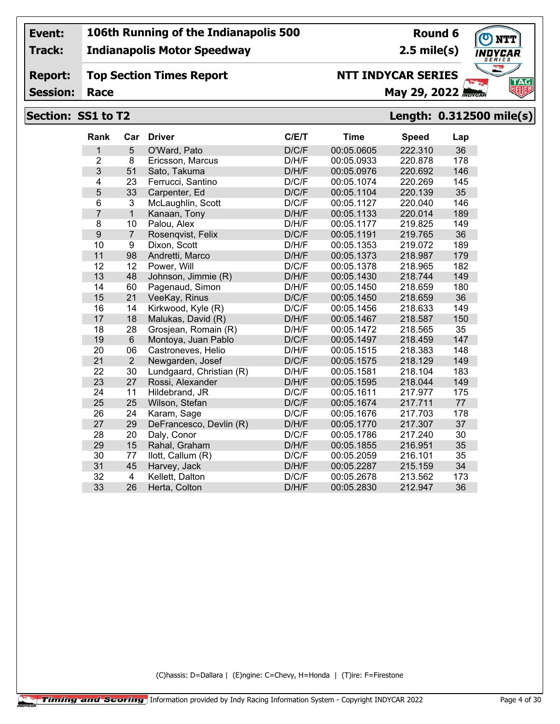**Track:**

**Report:**

#### **Indianapolis Motor Speedway**

**Top Section Times Report**

## **Round 6**

**2.5 mile(s)**



**Session:**

## **NTT INDYCAR SERIES**

**Race May 29, 2022** *May 29, 2022* 

## **Section: SS1 to T2 Length: 0.312500 mile(s)**

| 5<br>36<br>D/C/F<br>00:05.0605<br>222.310<br>1<br>O'Ward, Pato<br>$\overline{2}$<br>8<br>D/H/F<br>00:05.0933<br>220.878<br>178<br>Ericsson, Marcus<br>3<br>51<br>D/H/F<br>00:05.0976<br>146<br>Sato, Takuma<br>220.692<br>$\overline{4}$<br>23<br>D/C/F<br>00:05.1074<br>220.269<br>145<br>Ferrucci, Santino<br>5<br>33<br>D/C/F<br>00:05.1104<br>220.139<br>35<br>Carpenter, Ed<br>6<br>3<br>D/C/F<br>McLaughlin, Scott<br>00:05.1127<br>220.040<br>146<br>$\overline{7}$<br>$\overline{1}$<br>D/H/F<br>220.014<br>189<br>Kanaan, Tony<br>00:05.1133<br>8<br>10<br>D/H/F<br>00:05.1177<br>219.825<br>149<br>Palou, Alex<br>$\boldsymbol{9}$<br>D/C/F<br>36<br>$\overline{7}$<br>00:05.1191<br>219.765<br>Rosenqvist, Felix<br>10<br>9<br>D/H/F<br>189<br>00:05.1353<br>219.072<br>Dixon, Scott<br>11<br>98<br>D/H/F<br>00:05.1373<br>218.987<br>179<br>Andretti, Marco<br>12<br>12<br>D/C/F<br>00:05.1378<br>218.965<br>182<br>Power, Will<br>13<br>48<br>149<br>Johnson, Jimmie (R)<br>D/H/F<br>00:05.1430<br>218.744<br>14<br>60<br>218.659<br>180<br>Pagenaud, Simon<br>D/H/F<br>00:05.1450<br>21<br>15<br>D/C/F<br>00:05.1450<br>36<br>VeeKay, Rinus<br>218.659<br>16<br>14<br>Kirkwood, Kyle (R)<br>D/C/F<br>00:05.1456<br>218.633<br>149<br>18<br>17<br>Malukas, David (R)<br>D/H/F<br>00:05.1467<br>218.587<br>150<br>18<br>28<br>D/H/F<br>35<br>Grosjean, Romain (R)<br>00:05.1472<br>218.565<br>$6\phantom{1}$<br>19<br>D/C/F<br>00:05.1497<br>218.459<br>147<br>Montoya, Juan Pablo<br>06<br>20<br>00:05.1515<br>148<br>Castroneves, Helio<br>D/H/F<br>218.383<br>21<br>$\overline{2}$<br>D/C/F<br>149<br>Newgarden, Josef<br>00:05.1575<br>218.129<br>22<br>30<br>Lundgaard, Christian (R)<br>D/H/F<br>00:05.1581<br>218.104<br>183<br>23<br>27<br>D/H/F<br>00:05.1595<br>218.044<br>149<br>Rossi, Alexander<br>24<br>11<br>D/C/F<br>00:05.1611<br>217.977<br>175<br>Hildebrand, JR<br>25<br>25<br>D/C/F<br>77<br>Wilson, Stefan<br>00:05.1674<br>217.711<br>26<br>24<br>D/C/F<br>00:05.1676<br>217.703<br>178<br>Karam, Sage<br>27<br>29<br>217.307<br>37<br>D/H/F<br>00:05.1770<br>DeFrancesco, Devlin (R)<br>28<br>20<br>Daly, Conor<br>D/C/F<br>00:05.1786<br>217.240<br>30<br>29<br>15<br>Rahal, Graham<br>D/H/F<br>00:05.1855<br>216.951<br>35<br>30<br>D/C/F<br>35<br>77<br>llott, Callum (R)<br>00:05.2059<br>216.101<br>00:05.2287<br>215.159<br>31<br>45<br>Harvey, Jack<br>D/H/F<br>34<br>32<br>$\overline{4}$<br>D/C/F<br>00:05.2678<br>213.562<br>173<br>Kellett, Dalton<br>33<br>26<br>D/H/F<br>00:05.2830<br>212.947<br>36<br>Herta, Colton | Rank | Car | <b>Driver</b> | C/E/T | <b>Time</b> | <b>Speed</b> | Lap |
|------------------------------------------------------------------------------------------------------------------------------------------------------------------------------------------------------------------------------------------------------------------------------------------------------------------------------------------------------------------------------------------------------------------------------------------------------------------------------------------------------------------------------------------------------------------------------------------------------------------------------------------------------------------------------------------------------------------------------------------------------------------------------------------------------------------------------------------------------------------------------------------------------------------------------------------------------------------------------------------------------------------------------------------------------------------------------------------------------------------------------------------------------------------------------------------------------------------------------------------------------------------------------------------------------------------------------------------------------------------------------------------------------------------------------------------------------------------------------------------------------------------------------------------------------------------------------------------------------------------------------------------------------------------------------------------------------------------------------------------------------------------------------------------------------------------------------------------------------------------------------------------------------------------------------------------------------------------------------------------------------------------------------------------------------------------------------------------------------------------------------------------------------------------------------------------------------------------------------------------------------------------------------------------------------------------------------------------------------------------------------------------------------------------------------------------------------------------------------------------------------------------------------------------------------------------------|------|-----|---------------|-------|-------------|--------------|-----|
|                                                                                                                                                                                                                                                                                                                                                                                                                                                                                                                                                                                                                                                                                                                                                                                                                                                                                                                                                                                                                                                                                                                                                                                                                                                                                                                                                                                                                                                                                                                                                                                                                                                                                                                                                                                                                                                                                                                                                                                                                                                                                                                                                                                                                                                                                                                                                                                                                                                                                                                                                                        |      |     |               |       |             |              |     |
|                                                                                                                                                                                                                                                                                                                                                                                                                                                                                                                                                                                                                                                                                                                                                                                                                                                                                                                                                                                                                                                                                                                                                                                                                                                                                                                                                                                                                                                                                                                                                                                                                                                                                                                                                                                                                                                                                                                                                                                                                                                                                                                                                                                                                                                                                                                                                                                                                                                                                                                                                                        |      |     |               |       |             |              |     |
|                                                                                                                                                                                                                                                                                                                                                                                                                                                                                                                                                                                                                                                                                                                                                                                                                                                                                                                                                                                                                                                                                                                                                                                                                                                                                                                                                                                                                                                                                                                                                                                                                                                                                                                                                                                                                                                                                                                                                                                                                                                                                                                                                                                                                                                                                                                                                                                                                                                                                                                                                                        |      |     |               |       |             |              |     |
|                                                                                                                                                                                                                                                                                                                                                                                                                                                                                                                                                                                                                                                                                                                                                                                                                                                                                                                                                                                                                                                                                                                                                                                                                                                                                                                                                                                                                                                                                                                                                                                                                                                                                                                                                                                                                                                                                                                                                                                                                                                                                                                                                                                                                                                                                                                                                                                                                                                                                                                                                                        |      |     |               |       |             |              |     |
|                                                                                                                                                                                                                                                                                                                                                                                                                                                                                                                                                                                                                                                                                                                                                                                                                                                                                                                                                                                                                                                                                                                                                                                                                                                                                                                                                                                                                                                                                                                                                                                                                                                                                                                                                                                                                                                                                                                                                                                                                                                                                                                                                                                                                                                                                                                                                                                                                                                                                                                                                                        |      |     |               |       |             |              |     |
|                                                                                                                                                                                                                                                                                                                                                                                                                                                                                                                                                                                                                                                                                                                                                                                                                                                                                                                                                                                                                                                                                                                                                                                                                                                                                                                                                                                                                                                                                                                                                                                                                                                                                                                                                                                                                                                                                                                                                                                                                                                                                                                                                                                                                                                                                                                                                                                                                                                                                                                                                                        |      |     |               |       |             |              |     |
|                                                                                                                                                                                                                                                                                                                                                                                                                                                                                                                                                                                                                                                                                                                                                                                                                                                                                                                                                                                                                                                                                                                                                                                                                                                                                                                                                                                                                                                                                                                                                                                                                                                                                                                                                                                                                                                                                                                                                                                                                                                                                                                                                                                                                                                                                                                                                                                                                                                                                                                                                                        |      |     |               |       |             |              |     |
|                                                                                                                                                                                                                                                                                                                                                                                                                                                                                                                                                                                                                                                                                                                                                                                                                                                                                                                                                                                                                                                                                                                                                                                                                                                                                                                                                                                                                                                                                                                                                                                                                                                                                                                                                                                                                                                                                                                                                                                                                                                                                                                                                                                                                                                                                                                                                                                                                                                                                                                                                                        |      |     |               |       |             |              |     |
|                                                                                                                                                                                                                                                                                                                                                                                                                                                                                                                                                                                                                                                                                                                                                                                                                                                                                                                                                                                                                                                                                                                                                                                                                                                                                                                                                                                                                                                                                                                                                                                                                                                                                                                                                                                                                                                                                                                                                                                                                                                                                                                                                                                                                                                                                                                                                                                                                                                                                                                                                                        |      |     |               |       |             |              |     |
|                                                                                                                                                                                                                                                                                                                                                                                                                                                                                                                                                                                                                                                                                                                                                                                                                                                                                                                                                                                                                                                                                                                                                                                                                                                                                                                                                                                                                                                                                                                                                                                                                                                                                                                                                                                                                                                                                                                                                                                                                                                                                                                                                                                                                                                                                                                                                                                                                                                                                                                                                                        |      |     |               |       |             |              |     |
|                                                                                                                                                                                                                                                                                                                                                                                                                                                                                                                                                                                                                                                                                                                                                                                                                                                                                                                                                                                                                                                                                                                                                                                                                                                                                                                                                                                                                                                                                                                                                                                                                                                                                                                                                                                                                                                                                                                                                                                                                                                                                                                                                                                                                                                                                                                                                                                                                                                                                                                                                                        |      |     |               |       |             |              |     |
|                                                                                                                                                                                                                                                                                                                                                                                                                                                                                                                                                                                                                                                                                                                                                                                                                                                                                                                                                                                                                                                                                                                                                                                                                                                                                                                                                                                                                                                                                                                                                                                                                                                                                                                                                                                                                                                                                                                                                                                                                                                                                                                                                                                                                                                                                                                                                                                                                                                                                                                                                                        |      |     |               |       |             |              |     |
|                                                                                                                                                                                                                                                                                                                                                                                                                                                                                                                                                                                                                                                                                                                                                                                                                                                                                                                                                                                                                                                                                                                                                                                                                                                                                                                                                                                                                                                                                                                                                                                                                                                                                                                                                                                                                                                                                                                                                                                                                                                                                                                                                                                                                                                                                                                                                                                                                                                                                                                                                                        |      |     |               |       |             |              |     |
|                                                                                                                                                                                                                                                                                                                                                                                                                                                                                                                                                                                                                                                                                                                                                                                                                                                                                                                                                                                                                                                                                                                                                                                                                                                                                                                                                                                                                                                                                                                                                                                                                                                                                                                                                                                                                                                                                                                                                                                                                                                                                                                                                                                                                                                                                                                                                                                                                                                                                                                                                                        |      |     |               |       |             |              |     |
|                                                                                                                                                                                                                                                                                                                                                                                                                                                                                                                                                                                                                                                                                                                                                                                                                                                                                                                                                                                                                                                                                                                                                                                                                                                                                                                                                                                                                                                                                                                                                                                                                                                                                                                                                                                                                                                                                                                                                                                                                                                                                                                                                                                                                                                                                                                                                                                                                                                                                                                                                                        |      |     |               |       |             |              |     |
|                                                                                                                                                                                                                                                                                                                                                                                                                                                                                                                                                                                                                                                                                                                                                                                                                                                                                                                                                                                                                                                                                                                                                                                                                                                                                                                                                                                                                                                                                                                                                                                                                                                                                                                                                                                                                                                                                                                                                                                                                                                                                                                                                                                                                                                                                                                                                                                                                                                                                                                                                                        |      |     |               |       |             |              |     |
|                                                                                                                                                                                                                                                                                                                                                                                                                                                                                                                                                                                                                                                                                                                                                                                                                                                                                                                                                                                                                                                                                                                                                                                                                                                                                                                                                                                                                                                                                                                                                                                                                                                                                                                                                                                                                                                                                                                                                                                                                                                                                                                                                                                                                                                                                                                                                                                                                                                                                                                                                                        |      |     |               |       |             |              |     |
|                                                                                                                                                                                                                                                                                                                                                                                                                                                                                                                                                                                                                                                                                                                                                                                                                                                                                                                                                                                                                                                                                                                                                                                                                                                                                                                                                                                                                                                                                                                                                                                                                                                                                                                                                                                                                                                                                                                                                                                                                                                                                                                                                                                                                                                                                                                                                                                                                                                                                                                                                                        |      |     |               |       |             |              |     |
|                                                                                                                                                                                                                                                                                                                                                                                                                                                                                                                                                                                                                                                                                                                                                                                                                                                                                                                                                                                                                                                                                                                                                                                                                                                                                                                                                                                                                                                                                                                                                                                                                                                                                                                                                                                                                                                                                                                                                                                                                                                                                                                                                                                                                                                                                                                                                                                                                                                                                                                                                                        |      |     |               |       |             |              |     |
|                                                                                                                                                                                                                                                                                                                                                                                                                                                                                                                                                                                                                                                                                                                                                                                                                                                                                                                                                                                                                                                                                                                                                                                                                                                                                                                                                                                                                                                                                                                                                                                                                                                                                                                                                                                                                                                                                                                                                                                                                                                                                                                                                                                                                                                                                                                                                                                                                                                                                                                                                                        |      |     |               |       |             |              |     |
|                                                                                                                                                                                                                                                                                                                                                                                                                                                                                                                                                                                                                                                                                                                                                                                                                                                                                                                                                                                                                                                                                                                                                                                                                                                                                                                                                                                                                                                                                                                                                                                                                                                                                                                                                                                                                                                                                                                                                                                                                                                                                                                                                                                                                                                                                                                                                                                                                                                                                                                                                                        |      |     |               |       |             |              |     |
|                                                                                                                                                                                                                                                                                                                                                                                                                                                                                                                                                                                                                                                                                                                                                                                                                                                                                                                                                                                                                                                                                                                                                                                                                                                                                                                                                                                                                                                                                                                                                                                                                                                                                                                                                                                                                                                                                                                                                                                                                                                                                                                                                                                                                                                                                                                                                                                                                                                                                                                                                                        |      |     |               |       |             |              |     |
|                                                                                                                                                                                                                                                                                                                                                                                                                                                                                                                                                                                                                                                                                                                                                                                                                                                                                                                                                                                                                                                                                                                                                                                                                                                                                                                                                                                                                                                                                                                                                                                                                                                                                                                                                                                                                                                                                                                                                                                                                                                                                                                                                                                                                                                                                                                                                                                                                                                                                                                                                                        |      |     |               |       |             |              |     |
|                                                                                                                                                                                                                                                                                                                                                                                                                                                                                                                                                                                                                                                                                                                                                                                                                                                                                                                                                                                                                                                                                                                                                                                                                                                                                                                                                                                                                                                                                                                                                                                                                                                                                                                                                                                                                                                                                                                                                                                                                                                                                                                                                                                                                                                                                                                                                                                                                                                                                                                                                                        |      |     |               |       |             |              |     |
|                                                                                                                                                                                                                                                                                                                                                                                                                                                                                                                                                                                                                                                                                                                                                                                                                                                                                                                                                                                                                                                                                                                                                                                                                                                                                                                                                                                                                                                                                                                                                                                                                                                                                                                                                                                                                                                                                                                                                                                                                                                                                                                                                                                                                                                                                                                                                                                                                                                                                                                                                                        |      |     |               |       |             |              |     |
|                                                                                                                                                                                                                                                                                                                                                                                                                                                                                                                                                                                                                                                                                                                                                                                                                                                                                                                                                                                                                                                                                                                                                                                                                                                                                                                                                                                                                                                                                                                                                                                                                                                                                                                                                                                                                                                                                                                                                                                                                                                                                                                                                                                                                                                                                                                                                                                                                                                                                                                                                                        |      |     |               |       |             |              |     |
|                                                                                                                                                                                                                                                                                                                                                                                                                                                                                                                                                                                                                                                                                                                                                                                                                                                                                                                                                                                                                                                                                                                                                                                                                                                                                                                                                                                                                                                                                                                                                                                                                                                                                                                                                                                                                                                                                                                                                                                                                                                                                                                                                                                                                                                                                                                                                                                                                                                                                                                                                                        |      |     |               |       |             |              |     |
|                                                                                                                                                                                                                                                                                                                                                                                                                                                                                                                                                                                                                                                                                                                                                                                                                                                                                                                                                                                                                                                                                                                                                                                                                                                                                                                                                                                                                                                                                                                                                                                                                                                                                                                                                                                                                                                                                                                                                                                                                                                                                                                                                                                                                                                                                                                                                                                                                                                                                                                                                                        |      |     |               |       |             |              |     |
|                                                                                                                                                                                                                                                                                                                                                                                                                                                                                                                                                                                                                                                                                                                                                                                                                                                                                                                                                                                                                                                                                                                                                                                                                                                                                                                                                                                                                                                                                                                                                                                                                                                                                                                                                                                                                                                                                                                                                                                                                                                                                                                                                                                                                                                                                                                                                                                                                                                                                                                                                                        |      |     |               |       |             |              |     |
|                                                                                                                                                                                                                                                                                                                                                                                                                                                                                                                                                                                                                                                                                                                                                                                                                                                                                                                                                                                                                                                                                                                                                                                                                                                                                                                                                                                                                                                                                                                                                                                                                                                                                                                                                                                                                                                                                                                                                                                                                                                                                                                                                                                                                                                                                                                                                                                                                                                                                                                                                                        |      |     |               |       |             |              |     |
|                                                                                                                                                                                                                                                                                                                                                                                                                                                                                                                                                                                                                                                                                                                                                                                                                                                                                                                                                                                                                                                                                                                                                                                                                                                                                                                                                                                                                                                                                                                                                                                                                                                                                                                                                                                                                                                                                                                                                                                                                                                                                                                                                                                                                                                                                                                                                                                                                                                                                                                                                                        |      |     |               |       |             |              |     |
|                                                                                                                                                                                                                                                                                                                                                                                                                                                                                                                                                                                                                                                                                                                                                                                                                                                                                                                                                                                                                                                                                                                                                                                                                                                                                                                                                                                                                                                                                                                                                                                                                                                                                                                                                                                                                                                                                                                                                                                                                                                                                                                                                                                                                                                                                                                                                                                                                                                                                                                                                                        |      |     |               |       |             |              |     |
|                                                                                                                                                                                                                                                                                                                                                                                                                                                                                                                                                                                                                                                                                                                                                                                                                                                                                                                                                                                                                                                                                                                                                                                                                                                                                                                                                                                                                                                                                                                                                                                                                                                                                                                                                                                                                                                                                                                                                                                                                                                                                                                                                                                                                                                                                                                                                                                                                                                                                                                                                                        |      |     |               |       |             |              |     |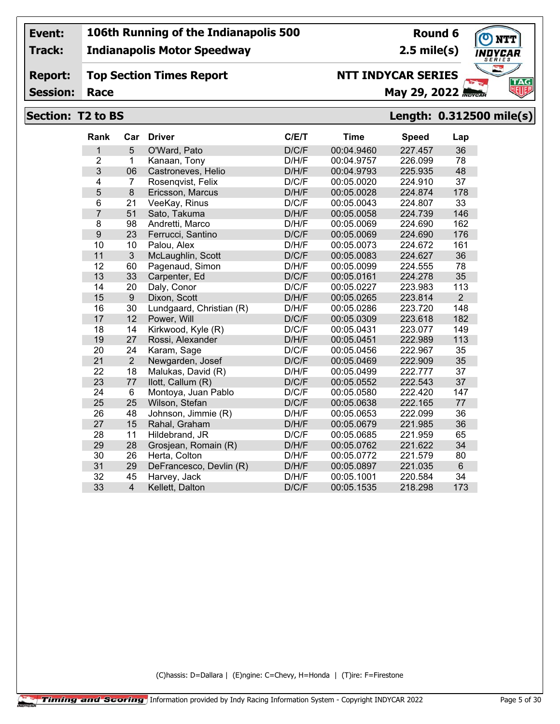**Track:**

#### **Indianapolis Motor Speedway**

## **Round 6**

**2.5 mile(s)**



**Report: Top Section Times Report**

**Session:**

## **Race May 29, 2022** *May 29, 2022*

**NTT INDYCAR SERIES**

#### **Section: T2 to BS Length: 0.312500 mile(s)**

| <b>Rank</b>    | Car            | <b>Driver</b>            | C/E/T | <b>Time</b> | <b>Speed</b> | Lap            |
|----------------|----------------|--------------------------|-------|-------------|--------------|----------------|
| 1              | 5              | O'Ward, Pato             | D/C/F | 00:04.9460  | 227.457      | 36             |
| $\overline{2}$ | $\mathbf{1}$   | Kanaan, Tony             | D/H/F | 00:04.9757  | 226.099      | 78             |
| 3              | 06             | Castroneves, Helio       | D/H/F | 00:04.9793  | 225.935      | 48             |
| 4              | 7              | Rosenqvist, Felix        | D/C/F | 00:05.0020  | 224.910      | 37             |
| 5              | 8              | Ericsson, Marcus         | D/H/F | 00:05.0028  | 224.874      | 178            |
| 6              | 21             | VeeKay, Rinus            | D/C/F | 00:05.0043  | 224.807      | 33             |
| $\overline{7}$ | 51             | Sato, Takuma             | D/H/F | 00:05.0058  | 224.739      | 146            |
| 8              | 98             | Andretti, Marco          | D/H/F | 00:05.0069  | 224.690      | 162            |
| 9              | 23             | Ferrucci, Santino        | D/C/F | 00:05.0069  | 224.690      | 176            |
| 10             | 10             | Palou, Alex              | D/H/F | 00:05.0073  | 224.672      | 161            |
| 11             | 3              | McLaughlin, Scott        | D/C/F | 00:05.0083  | 224.627      | 36             |
| 12             | 60             | Pagenaud, Simon          | D/H/F | 00:05.0099  | 224.555      | 78             |
| 13             | 33             | Carpenter, Ed            | D/C/F | 00:05.0161  | 224.278      | 35             |
| 14             | 20             | Daly, Conor              | D/C/F | 00:05.0227  | 223.983      | 113            |
| 15             | 9              | Dixon, Scott             | D/H/F | 00:05.0265  | 223.814      | $\overline{2}$ |
| 16             | 30             | Lundgaard, Christian (R) | D/H/F | 00:05.0286  | 223.720      | 148            |
| 17             | 12             | Power, Will              | D/C/F | 00:05.0309  | 223.618      | 182            |
| 18             | 14             | Kirkwood, Kyle (R)       | D/C/F | 00:05.0431  | 223.077      | 149            |
| 19             | 27             | Rossi, Alexander         | D/H/F | 00:05.0451  | 222.989      | 113            |
| 20             | 24             | Karam, Sage              | D/C/F | 00:05.0456  | 222.967      | 35             |
| 21             | $\overline{2}$ | Newgarden, Josef         | D/C/F | 00:05.0469  | 222.909      | 35             |
| 22             | 18             | Malukas, David (R)       | D/H/F | 00:05.0499  | 222.777      | 37             |
| 23             | 77             | llott, Callum (R)        | D/C/F | 00:05.0552  | 222.543      | 37             |
| 24             | 6              | Montoya, Juan Pablo      | D/C/F | 00:05.0580  | 222.420      | 147            |
| 25             | 25             | Wilson, Stefan           | D/C/F | 00:05.0638  | 222.165      | 77             |
| 26             | 48             | Johnson, Jimmie (R)      | D/H/F | 00:05.0653  | 222.099      | 36             |
| 27             | 15             | Rahal, Graham            | D/H/F | 00:05.0679  | 221.985      | 36             |
| 28             | 11             | Hildebrand, JR           | D/C/F | 00:05.0685  | 221.959      | 65             |
| 29             | 28             | Grosjean, Romain (R)     | D/H/F | 00:05.0762  | 221.622      | 34             |
| 30             | 26             | Herta, Colton            | D/H/F | 00:05.0772  | 221.579      | 80             |
| 31             | 29             | DeFrancesco, Devlin (R)  | D/H/F | 00:05.0897  | 221.035      | 6              |
| 32             | 45             | Harvey, Jack             | D/H/F | 00:05.1001  | 220.584      | 34             |
| 33             | $\overline{4}$ | Kellett, Dalton          | D/C/F | 00:05.1535  | 218.298      | 173            |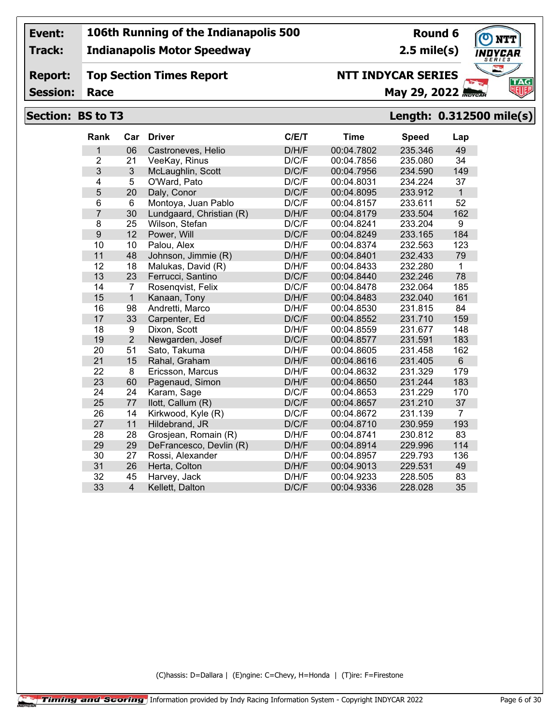**Track:**

#### **Indianapolis Motor Speedway**

**Round 6 2.5 mile(s)**

**TAG** 

#### **Report: Top Section Times Report**

**Session:**

## **NTT INDYCAR SERIES**

**Race May 29, 2022** *May 29, 2022* 

#### **Section: BS to T3 Length: 0.312500 mile(s)**

| Rank           | Car            | <b>Driver</b>            | C/E/T | <b>Time</b> | <b>Speed</b> | Lap            |
|----------------|----------------|--------------------------|-------|-------------|--------------|----------------|
| 1              | 06             | Castroneves, Helio       | D/H/F | 00:04.7802  | 235.346      | 49             |
| $\overline{2}$ | 21             | VeeKay, Rinus            | D/C/F | 00:04.7856  | 235.080      | 34             |
| 3              | 3              | McLaughlin, Scott        | D/C/F | 00:04.7956  | 234.590      | 149            |
| $\overline{4}$ | 5              | O'Ward, Pato             | D/C/F | 00:04.8031  | 234.224      | 37             |
| 5              | 20             | Daly, Conor              | D/C/F | 00:04.8095  | 233.912      | $\mathbf{1}$   |
| 6              | 6              | Montoya, Juan Pablo      | D/C/F | 00:04.8157  | 233.611      | 52             |
| $\overline{7}$ | 30             | Lundgaard, Christian (R) | D/H/F | 00:04.8179  | 233.504      | 162            |
| 8              | 25             | Wilson, Stefan           | D/C/F | 00:04.8241  | 233.204      | 9              |
| 9              | 12             | Power, Will              | D/C/F | 00:04.8249  | 233.165      | 184            |
| 10             | 10             | Palou, Alex              | D/H/F | 00:04.8374  | 232.563      | 123            |
| 11             | 48             | Johnson, Jimmie (R)      | D/H/F | 00:04.8401  | 232.433      | 79             |
| 12             | 18             | Malukas, David (R)       | D/H/F | 00:04.8433  | 232.280      | 1              |
| 13             | 23             | Ferrucci, Santino        | D/C/F | 00:04.8440  | 232.246      | 78             |
| 14             | 7              | Rosenqvist, Felix        | D/C/F | 00:04.8478  | 232.064      | 185            |
| 15             | $\overline{1}$ | Kanaan, Tony             | D/H/F | 00:04.8483  | 232.040      | 161            |
| 16             | 98             | Andretti, Marco          | D/H/F | 00:04.8530  | 231.815      | 84             |
| 17             | 33             | Carpenter, Ed            | D/C/F | 00:04.8552  | 231.710      | 159            |
| 18             | 9              | Dixon, Scott             | D/H/F | 00:04.8559  | 231.677      | 148            |
| 19             | $\overline{2}$ | Newgarden, Josef         | D/C/F | 00:04.8577  | 231.591      | 183            |
| 20             | 51             | Sato, Takuma             | D/H/F | 00:04.8605  | 231.458      | 162            |
| 21             | 15             | Rahal, Graham            | D/H/F | 00:04.8616  | 231.405      | $6\phantom{a}$ |
| 22             | 8              | Ericsson, Marcus         | D/H/F | 00:04.8632  | 231.329      | 179            |
| 23             | 60             | Pagenaud, Simon          | D/H/F | 00:04.8650  | 231.244      | 183            |
| 24             | 24             | Karam, Sage              | D/C/F | 00:04.8653  | 231.229      | 170            |
| 25             | 77             | llott, Callum (R)        | D/C/F | 00:04.8657  | 231.210      | 37             |
| 26             | 14             | Kirkwood, Kyle (R)       | D/C/F | 00:04.8672  | 231.139      | 7              |
| 27             | 11             | Hildebrand, JR           | D/C/F | 00:04.8710  | 230.959      | 193            |
| 28             | 28             | Grosjean, Romain (R)     | D/H/F | 00:04.8741  | 230.812      | 83             |
| 29             | 29             | DeFrancesco, Devlin (R)  | D/H/F | 00:04.8914  | 229.996      | 114            |
| 30             | 27             | Rossi, Alexander         | D/H/F | 00:04.8957  | 229.793      | 136            |
| 31             | 26             | Herta, Colton            | D/H/F | 00:04.9013  | 229.531      | 49             |
| 32             | 45             | Harvey, Jack             | D/H/F | 00:04.9233  | 228.505      | 83             |
| 33             | $\overline{4}$ | Kellett, Dalton          | D/C/F | 00:04.9336  | 228.028      | 35             |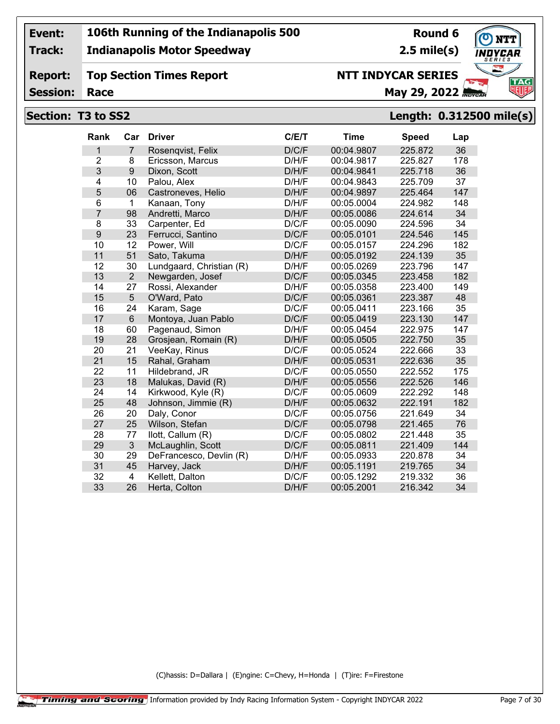**Track:**

#### **Indianapolis Motor Speedway**

#### **Report: Top Section Times Report**

**Session:**

# **NTT INDYCAR SERIES**

**Race May 29, 2022** *May 29, 2022* 

#### **Section: T3 to SS2 Length: 0.312500 mile(s)**

| Rank           | Car            | <b>Driver</b>            | C/E/T | <b>Time</b> | <b>Speed</b> | Lap |
|----------------|----------------|--------------------------|-------|-------------|--------------|-----|
| 1              | $\overline{7}$ | Rosengvist, Felix        | D/C/F | 00:04.9807  | 225.872      | 36  |
| $\overline{2}$ | 8              | Ericsson, Marcus         | D/H/F | 00:04.9817  | 225.827      | 178 |
| 3              | 9              | Dixon, Scott             | D/H/F | 00:04.9841  | 225.718      | 36  |
| 4              | 10             | Palou, Alex              | D/H/F | 00:04.9843  | 225.709      | 37  |
| 5              | 06             | Castroneves, Helio       | D/H/F | 00:04.9897  | 225.464      | 147 |
| 6              | $\mathbf{1}$   | Kanaan, Tony             | D/H/F | 00:05.0004  | 224.982      | 148 |
| $\overline{7}$ | 98             | Andretti, Marco          | D/H/F | 00:05.0086  | 224.614      | 34  |
| 8              | 33             | Carpenter, Ed            | D/C/F | 00:05.0090  | 224.596      | 34  |
| 9              | 23             | Ferrucci, Santino        | D/C/F | 00:05.0101  | 224.546      | 145 |
| 10             | 12             | Power, Will              | D/C/F | 00:05.0157  | 224.296      | 182 |
| 11             | 51             | Sato, Takuma             | D/H/F | 00:05.0192  | 224.139      | 35  |
| 12             | 30             | Lundgaard, Christian (R) | D/H/F | 00:05.0269  | 223.796      | 147 |
| 13             | $\overline{2}$ | Newgarden, Josef         | D/C/F | 00:05.0345  | 223.458      | 182 |
| 14             | 27             | Rossi, Alexander         | D/H/F | 00:05.0358  | 223.400      | 149 |
| 15             | 5              | O'Ward, Pato             | D/C/F | 00:05.0361  | 223.387      | 48  |
| 16             | 24             | Karam, Sage              | D/C/F | 00:05.0411  | 223.166      | 35  |
| 17             | $6\phantom{.}$ | Montoya, Juan Pablo      | D/C/F | 00:05.0419  | 223.130      | 147 |
| 18             | 60             | Pagenaud, Simon          | D/H/F | 00:05.0454  | 222.975      | 147 |
| 19             | 28             | Grosjean, Romain (R)     | D/H/F | 00:05.0505  | 222.750      | 35  |
| 20             | 21             | VeeKay, Rinus            | D/C/F | 00:05.0524  | 222.666      | 33  |
| 21             | 15             | Rahal, Graham            | D/H/F | 00:05.0531  | 222.636      | 35  |
| 22             | 11             | Hildebrand, JR           | D/C/F | 00:05.0550  | 222.552      | 175 |
| 23             | 18             | Malukas, David (R)       | D/H/F | 00:05.0556  | 222.526      | 146 |
| 24             | 14             | Kirkwood, Kyle (R)       | D/C/F | 00:05.0609  | 222.292      | 148 |
| 25             | 48             | Johnson, Jimmie (R)      | D/H/F | 00:05.0632  | 222.191      | 182 |
| 26             | 20             | Daly, Conor              | D/C/F | 00:05.0756  | 221.649      | 34  |
| 27             | 25             | Wilson, Stefan           | D/C/F | 00:05.0798  | 221.465      | 76  |
| 28             | 77             | llott, Callum (R)        | D/C/F | 00:05.0802  | 221.448      | 35  |
| 29             | 3              | McLaughlin, Scott        | D/C/F | 00:05.0811  | 221.409      | 144 |
| 30             | 29             | DeFrancesco, Devlin (R)  | D/H/F | 00:05.0933  | 220.878      | 34  |
| 31             | 45             | Harvey, Jack             | D/H/F | 00:05.1191  | 219.765      | 34  |
| 32             | $\overline{4}$ | Kellett, Dalton          | D/C/F | 00:05.1292  | 219.332      | 36  |
| 33             | 26             | Herta, Colton            | D/H/F | 00:05.2001  | 216.342      | 34  |
|                |                |                          |       |             |              |     |

(C)hassis: D=Dallara | (E)ngine: C=Chevy, H=Honda | (T)ire: F=Firestone



**Round 6 2.5 mile(s)**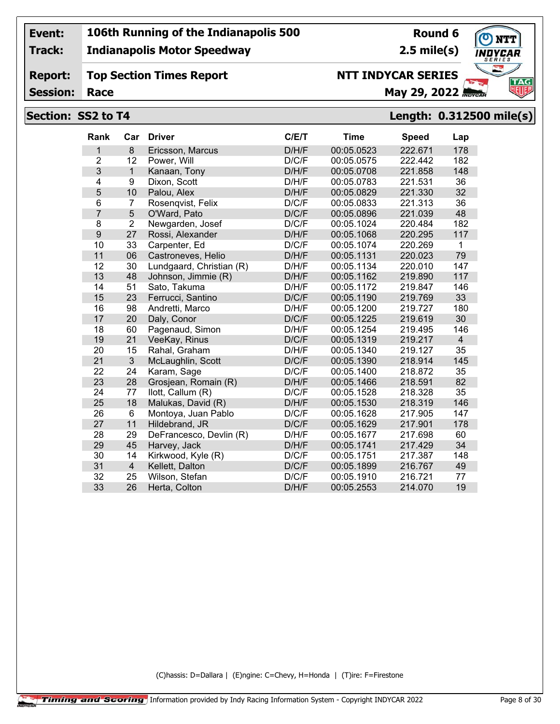**Track:**

**Report:**

### **Indianapolis Motor Speedway**

#### **Top Section Times Report NTT INDYCAR SERIES**

**Round 6 2.5 mile(s)**

**TAG** 

## **Session:**

## **Race May 29, 2022** *May 29, 2022*

#### **Section: SS2 to T4 Length: 0.312500 mile(s)**

| <b>Rank</b>    | Car            | <b>Driver</b>            | C/E/T | <b>Time</b> | <b>Speed</b> | Lap            |
|----------------|----------------|--------------------------|-------|-------------|--------------|----------------|
| 1              | 8              | Ericsson, Marcus         | D/H/F | 00:05.0523  | 222.671      | 178            |
| $\overline{2}$ | 12             | Power, Will              | D/C/F | 00:05.0575  | 222.442      | 182            |
| 3              | $\mathbf{1}$   | Kanaan, Tony             | D/H/F | 00:05.0708  | 221.858      | 148            |
| 4              | 9              | Dixon, Scott             | D/H/F | 00:05.0783  | 221.531      | 36             |
| 5              | 10             | Palou, Alex              | D/H/F | 00:05.0829  | 221.330      | 32             |
| 6              | $\overline{7}$ | Rosenqvist, Felix        | D/C/F | 00:05.0833  | 221.313      | 36             |
| $\overline{7}$ | 5              | O'Ward, Pato             | D/C/F | 00:05.0896  | 221.039      | 48             |
| 8              | $\overline{2}$ | Newgarden, Josef         | D/C/F | 00:05.1024  | 220.484      | 182            |
| 9              | 27             | Rossi, Alexander         | D/H/F | 00:05.1068  | 220.295      | 117            |
| 10             | 33             | Carpenter, Ed            | D/C/F | 00:05.1074  | 220.269      | 1              |
| 11             | 06             | Castroneves, Helio       | D/H/F | 00:05.1131  | 220.023      | 79             |
| 12             | 30             | Lundgaard, Christian (R) | D/H/F | 00:05.1134  | 220.010      | 147            |
| 13             | 48             | Johnson, Jimmie (R)      | D/H/F | 00:05.1162  | 219.890      | 117            |
| 14             | 51             | Sato, Takuma             | D/H/F | 00:05.1172  | 219.847      | 146            |
| 15             | 23             | Ferrucci, Santino        | D/C/F | 00:05.1190  | 219.769      | 33             |
| 16             | 98             | Andretti, Marco          | D/H/F | 00:05.1200  | 219.727      | 180            |
| 17             | 20             | Daly, Conor              | D/C/F | 00:05.1225  | 219.619      | 30             |
| 18             | 60             | Pagenaud, Simon          | D/H/F | 00:05.1254  | 219.495      | 146            |
| 19             | 21             | VeeKay, Rinus            | D/C/F | 00:05.1319  | 219.217      | $\overline{4}$ |
| 20             | 15             | Rahal, Graham            | D/H/F | 00:05.1340  | 219.127      | 35             |
| 21             | $\mathfrak{S}$ | McLaughlin, Scott        | D/C/F | 00:05.1390  | 218.914      | 145            |
| 22             | 24             | Karam, Sage              | D/C/F | 00:05.1400  | 218.872      | 35             |
| 23             | 28             | Grosjean, Romain (R)     | D/H/F | 00:05.1466  | 218.591      | 82             |
| 24             | 77             | llott, Callum (R)        | D/C/F | 00:05.1528  | 218.328      | 35             |
| 25             | 18             | Malukas, David (R)       | D/H/F | 00:05.1530  | 218.319      | 146            |
| 26             | 6              | Montoya, Juan Pablo      | D/C/F | 00:05.1628  | 217.905      | 147            |
| 27             | 11             | Hildebrand, JR           | D/C/F | 00:05.1629  | 217.901      | 178            |
| 28             | 29             | DeFrancesco, Devlin (R)  | D/H/F | 00:05.1677  | 217.698      | 60             |
| 29             | 45             | Harvey, Jack             | D/H/F | 00:05.1741  | 217.429      | 34             |
| 30             | 14             | Kirkwood, Kyle (R)       | D/C/F | 00:05.1751  | 217.387      | 148            |
| 31             | $\overline{4}$ | Kellett, Dalton          | D/C/F | 00:05.1899  | 216.767      | 49             |
| 32             | 25             | Wilson, Stefan           | D/C/F | 00:05.1910  | 216.721      | 77             |
| 33             | 26             | Herta, Colton            | D/H/F | 00:05.2553  | 214.070      | 19             |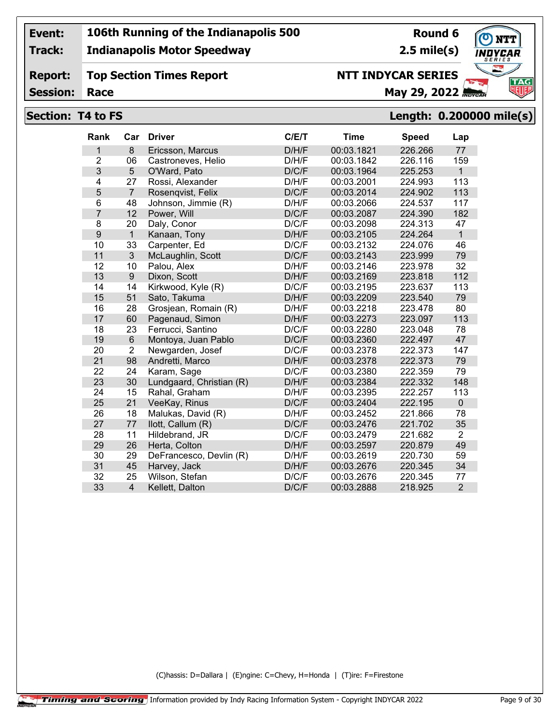**Track:**

**Report:**

#### **Indianapolis Motor Speedway**

**Top Section Times Report**

# **Round 6**

**2.5 mile(s)**



**Session:**

# **NTT INDYCAR SERIES**

# **Race May 29, 2022** *May 29, 2022*

#### **Section: T4 to FS Length: 0.200000 mile(s)**

| Rank           | Car              | <b>Driver</b>            | C/E/T | <b>Time</b> | <b>Speed</b> | Lap            |
|----------------|------------------|--------------------------|-------|-------------|--------------|----------------|
| 1              | 8                | Ericsson, Marcus         | D/H/F | 00:03.1821  | 226.266      | 77             |
| $\overline{2}$ | 06               | Castroneves, Helio       | D/H/F | 00:03.1842  | 226.116      | 159            |
| 3              | 5                | O'Ward, Pato             | D/C/F | 00:03.1964  | 225.253      | $\mathbf{1}$   |
| 4              | 27               | Rossi, Alexander         | D/H/F | 00:03.2001  | 224.993      | 113            |
| 5              | $\overline{7}$   | Rosenqvist, Felix        | D/C/F | 00:03.2014  | 224.902      | 113            |
| 6              | 48               | Johnson, Jimmie (R)      | D/H/F | 00:03.2066  | 224.537      | 117            |
| $\overline{7}$ | 12               | Power, Will              | D/C/F | 00:03.2087  | 224.390      | 182            |
| 8              | 20               | Daly, Conor              | D/C/F | 00:03.2098  | 224.313      | 47             |
| 9              | $\mathbf{1}$     | Kanaan, Tony             | D/H/F | 00:03.2105  | 224.264      | $\mathbf{1}$   |
| 10             | 33               | Carpenter, Ed            | D/C/F | 00:03.2132  | 224.076      | 46             |
| 11             | 3                | McLaughlin, Scott        | D/C/F | 00:03.2143  | 223.999      | 79             |
| 12             | 10               | Palou, Alex              | D/H/F | 00:03.2146  | 223.978      | 32             |
| 13             | $\boldsymbol{9}$ | Dixon, Scott             | D/H/F | 00:03.2169  | 223.818      | 112            |
| 14             | 14               | Kirkwood, Kyle (R)       | D/C/F | 00:03.2195  | 223.637      | 113            |
| 15             | 51               | Sato, Takuma             | D/H/F | 00:03.2209  | 223.540      | 79             |
| 16             | 28               | Grosjean, Romain (R)     | D/H/F | 00:03.2218  | 223.478      | 80             |
| 17             | 60               | Pagenaud, Simon          | D/H/F | 00:03.2273  | 223.097      | 113            |
| 18             | 23               | Ferrucci, Santino        | D/C/F | 00:03.2280  | 223.048      | 78             |
| 19             | $6\phantom{1}$   | Montoya, Juan Pablo      | D/C/F | 00:03.2360  | 222.497      | 47             |
| 20             | $\overline{2}$   | Newgarden, Josef         | D/C/F | 00:03.2378  | 222.373      | 147            |
| 21             | 98               | Andretti, Marco          | D/H/F | 00:03.2378  | 222.373      | 79             |
| 22             | 24               | Karam, Sage              | D/C/F | 00:03.2380  | 222.359      | 79             |
| 23             | 30               | Lundgaard, Christian (R) | D/H/F | 00:03.2384  | 222.332      | 148            |
| 24             | 15               | Rahal, Graham            | D/H/F | 00:03.2395  | 222.257      | 113            |
| 25             | 21               | VeeKay, Rinus            | D/C/F | 00:03.2404  | 222.195      | $\mathbf 0$    |
| 26             | 18               | Malukas, David (R)       | D/H/F | 00:03.2452  | 221.866      | 78             |
| 27             | 77               | llott, Callum (R)        | D/C/F | 00:03.2476  | 221.702      | 35             |
| 28             | 11               | Hildebrand, JR           | D/C/F | 00:03.2479  | 221.682      | $\overline{2}$ |
| 29             | 26               | Herta, Colton            | D/H/F | 00:03.2597  | 220.879      | 49             |
| 30             | 29               | DeFrancesco, Devlin (R)  | D/H/F | 00:03.2619  | 220.730      | 59             |
| 31             | 45               | Harvey, Jack             | D/H/F | 00:03.2676  | 220.345      | 34             |
| 32             | 25               | Wilson, Stefan           | D/C/F | 00:03.2676  | 220.345      | 77             |
| 33             | $\overline{4}$   | Kellett, Dalton          | D/C/F | 00:03.2888  | 218.925      | $\overline{2}$ |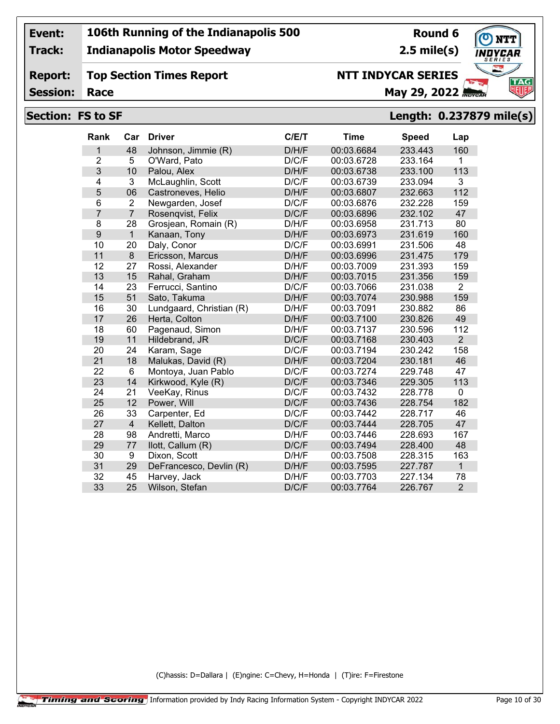**Track:**

#### **Indianapolis Motor Speedway**

## **2.5 mile(s)**

**Round 6**



**Report: Session: Top Section Times Report**

## **Race May 29, 2022** *May 29, 2022*

**NTT INDYCAR SERIES**

## **Section: FS to SF Length: 0.237879 mile(s)**

| Rank           | Car            | <b>Driver</b>            | C/E/T | <b>Time</b> | <b>Speed</b> | Lap            |
|----------------|----------------|--------------------------|-------|-------------|--------------|----------------|
| 1              | 48             | Johnson, Jimmie (R)      | D/H/F | 00:03.6684  | 233.443      | 160            |
| $\overline{2}$ | 5              | O'Ward, Pato             | D/C/F | 00:03.6728  | 233.164      | $\mathbf{1}$   |
| 3              | 10             | Palou, Alex              | D/H/F | 00:03.6738  | 233.100      | 113            |
| $\overline{4}$ | 3              | McLaughlin, Scott        | D/C/F | 00:03.6739  | 233.094      | 3              |
| 5              | 06             | Castroneves, Helio       | D/H/F | 00:03.6807  | 232.663      | 112            |
| 6              | $\overline{2}$ | Newgarden, Josef         | D/C/F | 00:03.6876  | 232.228      | 159            |
| 7              | $\overline{7}$ | Rosenqvist, Felix        | D/C/F | 00:03.6896  | 232.102      | 47             |
| 8              | 28             | Grosjean, Romain (R)     | D/H/F | 00:03.6958  | 231.713      | 80             |
| 9              | $\mathbf{1}$   | Kanaan, Tony             | D/H/F | 00:03.6973  | 231.619      | 160            |
| 10             | 20             | Daly, Conor              | D/C/F | 00:03.6991  | 231.506      | 48             |
| 11             | 8              | Ericsson, Marcus         | D/H/F | 00:03.6996  | 231.475      | 179            |
| 12             | 27             | Rossi, Alexander         | D/H/F | 00:03.7009  | 231.393      | 159            |
| 13             | 15             | Rahal, Graham            | D/H/F | 00:03.7015  | 231.356      | 159            |
| 14             | 23             | Ferrucci, Santino        | D/C/F | 00:03.7066  | 231.038      | $\overline{2}$ |
| 15             | 51             | Sato, Takuma             | D/H/F | 00:03.7074  | 230.988      | 159            |
| 16             | 30             | Lundgaard, Christian (R) | D/H/F | 00:03.7091  | 230.882      | 86             |
| 17             | 26             | Herta, Colton            | D/H/F | 00:03.7100  | 230.826      | 49             |
| 18             | 60             | Pagenaud, Simon          | D/H/F | 00:03.7137  | 230.596      | 112            |
| 19             | 11             | Hildebrand, JR           | D/C/F | 00:03.7168  | 230.403      | $\overline{2}$ |
| 20             | 24             | Karam, Sage              | D/C/F | 00:03.7194  | 230.242      | 158            |
| 21             | 18             | Malukas, David (R)       | D/H/F | 00:03.7204  | 230.181      | 46             |
| 22             | 6              | Montoya, Juan Pablo      | D/C/F | 00:03.7274  | 229.748      | 47             |
| 23             | 14             | Kirkwood, Kyle (R)       | D/C/F | 00:03.7346  | 229.305      | 113            |
| 24             | 21             | VeeKay, Rinus            | D/C/F | 00:03.7432  | 228.778      | $\mathbf{0}$   |
| 25             | 12             | Power, Will              | D/C/F | 00:03.7436  | 228.754      | 182            |
| 26             | 33             | Carpenter, Ed            | D/C/F | 00:03.7442  | 228.717      | 46             |
| 27             | $\overline{4}$ | Kellett, Dalton          | D/C/F | 00:03.7444  | 228.705      | 47             |
| 28             | 98             | Andretti, Marco          | D/H/F | 00:03.7446  | 228.693      | 167            |
| 29             | 77             | llott, Callum (R)        | D/C/F | 00:03.7494  | 228.400      | 48             |
| 30             | 9              | Dixon, Scott             | D/H/F | 00:03.7508  | 228.315      | 163            |
| 31             | 29             | DeFrancesco, Devlin (R)  | D/H/F | 00:03.7595  | 227.787      | $\mathbf{1}$   |
| 32             | 45             | Harvey, Jack             | D/H/F | 00:03.7703  | 227.134      | 78             |
| 33             | 25             | Wilson, Stefan           | D/C/F | 00:03.7764  | 226.767      | $\overline{2}$ |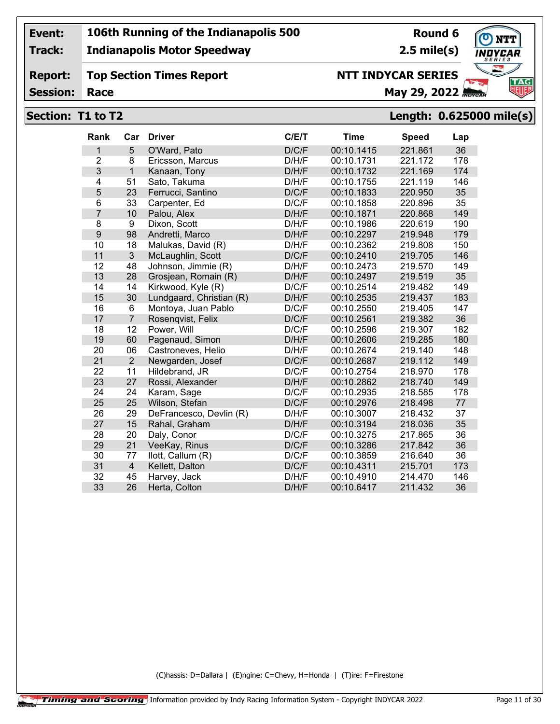**Track:**

#### **Indianapolis Motor Speedway**

#### **Report: Top Section Times Report**

**Round 6 2.5 mile(s)**

**TAG** 

**Session:**

# **NTT INDYCAR SERIES**

**Race May 29, 2022** *May 29, 2022* 

#### **Section: T1 to T2 Length: 0.625000 mile(s)**

| Rank             | Car            | <b>Driver</b>            | C/E/T | <b>Time</b> | <b>Speed</b> | Lap |
|------------------|----------------|--------------------------|-------|-------------|--------------|-----|
| 1                | 5              | O'Ward, Pato             | D/C/F | 00:10.1415  | 221.861      | 36  |
| $\overline{2}$   | 8              | Ericsson, Marcus         | D/H/F | 00:10.1731  | 221.172      | 178 |
| 3                | $\overline{1}$ | Kanaan, Tony             | D/H/F | 00:10.1732  | 221.169      | 174 |
| 4                | 51             | Sato, Takuma             | D/H/F | 00:10.1755  | 221.119      | 146 |
| 5                | 23             | Ferrucci, Santino        | D/C/F | 00:10.1833  | 220.950      | 35  |
| 6                | 33             | Carpenter, Ed            | D/C/F | 00:10.1858  | 220.896      | 35  |
| $\overline{7}$   | 10             | Palou, Alex              | D/H/F | 00:10.1871  | 220.868      | 149 |
| 8                | 9              | Dixon, Scott             | D/H/F | 00:10.1986  | 220.619      | 190 |
| $\boldsymbol{9}$ | 98             | Andretti, Marco          | D/H/F | 00:10.2297  | 219.948      | 179 |
| 10               | 18             | Malukas, David (R)       | D/H/F | 00:10.2362  | 219.808      | 150 |
| 11               | 3              | McLaughlin, Scott        | D/C/F | 00:10.2410  | 219.705      | 146 |
| 12               | 48             | Johnson, Jimmie (R)      | D/H/F | 00:10.2473  | 219.570      | 149 |
| 13               | 28             | Grosjean, Romain (R)     | D/H/F | 00:10.2497  | 219.519      | 35  |
| 14               | 14             | Kirkwood, Kyle (R)       | D/C/F | 00:10.2514  | 219.482      | 149 |
| 15               | 30             | Lundgaard, Christian (R) | D/H/F | 00:10.2535  | 219.437      | 183 |
| 16               | 6              | Montoya, Juan Pablo      | D/C/F | 00:10.2550  | 219.405      | 147 |
| 17               | $\overline{7}$ | Rosenqvist, Felix        | D/C/F | 00:10.2561  | 219.382      | 36  |
| 18               | 12             | Power, Will              | D/C/F | 00:10.2596  | 219.307      | 182 |
| 19               | 60             | Pagenaud, Simon          | D/H/F | 00:10.2606  | 219.285      | 180 |
| 20               | 06             | Castroneves, Helio       | D/H/F | 00:10.2674  | 219.140      | 148 |
| 21               | $\overline{2}$ | Newgarden, Josef         | D/C/F | 00:10.2687  | 219.112      | 149 |
| 22               | 11             | Hildebrand, JR           | D/C/F | 00:10.2754  | 218.970      | 178 |
| 23               | 27             | Rossi, Alexander         | D/H/F | 00:10.2862  | 218.740      | 149 |
| 24               | 24             | Karam, Sage              | D/C/F | 00:10.2935  | 218.585      | 178 |
| 25               | 25             | Wilson, Stefan           | D/C/F | 00:10.2976  | 218.498      | 77  |
| 26               | 29             | DeFrancesco, Devlin (R)  | D/H/F | 00:10.3007  | 218.432      | 37  |
| 27               | 15             | Rahal, Graham            | D/H/F | 00:10.3194  | 218.036      | 35  |
| 28               | 20             | Daly, Conor              | D/C/F | 00:10.3275  | 217.865      | 36  |
| 29               | 21             | VeeKay, Rinus            | D/C/F | 00:10.3286  | 217.842      | 36  |
| 30               | 77             | llott, Callum (R)        | D/C/F | 00:10.3859  | 216.640      | 36  |
| 31               | $\overline{4}$ | Kellett, Dalton          | D/C/F | 00:10.4311  | 215.701      | 173 |
| 32               | 45             | Harvey, Jack             | D/H/F | 00:10.4910  | 214.470      | 146 |
| 33               | 26             | Herta, Colton            | D/H/F | 00:10.6417  | 211.432      | 36  |
|                  |                |                          |       |             |              |     |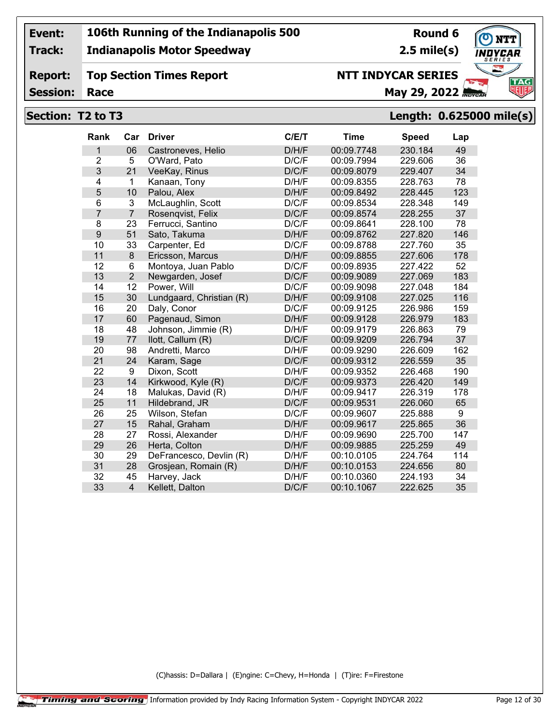**Track:**

#### **Indianapolis Motor Speedway**

## **Round 6 2.5 mile(s)**

**TAG** 

#### **Report: Top Section Times Report Race May 29, 2022** *May 29, 2022*

**Session:**

## **NTT INDYCAR SERIES**



| Rank           | Car            | <b>Driver</b>            | C/E/T | <b>Time</b> | <b>Speed</b> | Lap |
|----------------|----------------|--------------------------|-------|-------------|--------------|-----|
| 1              | 06             | Castroneves, Helio       | D/H/F | 00:09.7748  | 230.184      | 49  |
| $\overline{2}$ | 5              | O'Ward, Pato             | D/C/F | 00:09.7994  | 229.606      | 36  |
| $\overline{3}$ | 21             | VeeKay, Rinus            | D/C/F | 00:09.8079  | 229.407      | 34  |
| $\overline{4}$ | 1              | Kanaan, Tony             | D/H/F | 00:09.8355  | 228.763      | 78  |
| 5              | 10             | Palou, Alex              | D/H/F | 00:09.8492  | 228.445      | 123 |
| 6              | 3              | McLaughlin, Scott        | D/C/F | 00:09.8534  | 228.348      | 149 |
| $\overline{7}$ | $\overline{7}$ | Rosenqvist, Felix        | D/C/F | 00:09.8574  | 228.255      | 37  |
| 8              | 23             | Ferrucci, Santino        | D/C/F | 00:09.8641  | 228.100      | 78  |
| 9              | 51             | Sato, Takuma             | D/H/F | 00:09.8762  | 227.820      | 146 |
| 10             | 33             | Carpenter, Ed            | D/C/F | 00:09.8788  | 227.760      | 35  |
| 11             | 8              | Ericsson, Marcus         | D/H/F | 00:09.8855  | 227.606      | 178 |
| 12             | 6              | Montoya, Juan Pablo      | D/C/F | 00:09.8935  | 227.422      | 52  |
| 13             | $\overline{2}$ | Newgarden, Josef         | D/C/F | 00:09.9089  | 227.069      | 183 |
| 14             | 12             | Power, Will              | D/C/F | 00:09.9098  | 227.048      | 184 |
| 15             | 30             | Lundgaard, Christian (R) | D/H/F | 00:09.9108  | 227.025      | 116 |
| 16             | 20             | Daly, Conor              | D/C/F | 00:09.9125  | 226.986      | 159 |
| 17             | 60             | Pagenaud, Simon          | D/H/F | 00:09.9128  | 226.979      | 183 |
| 18             | 48             | Johnson, Jimmie (R)      | D/H/F | 00:09.9179  | 226.863      | 79  |
| 19             | 77             | llott, Callum (R)        | D/C/F | 00:09.9209  | 226.794      | 37  |
| 20             | 98             | Andretti, Marco          | D/H/F | 00:09.9290  | 226.609      | 162 |
| 21             | 24             | Karam, Sage              | D/C/F | 00:09.9312  | 226.559      | 35  |
| 22             | 9              | Dixon, Scott             | D/H/F | 00:09.9352  | 226.468      | 190 |
| 23             | 14             | Kirkwood, Kyle (R)       | D/C/F | 00:09.9373  | 226.420      | 149 |
| 24             | 18             | Malukas, David (R)       | D/H/F | 00:09.9417  | 226.319      | 178 |
| 25             | 11             | Hildebrand, JR           | D/C/F | 00:09.9531  | 226.060      | 65  |
| 26             | 25             | Wilson, Stefan           | D/C/F | 00:09.9607  | 225.888      | 9   |
| 27             | 15             | Rahal, Graham            | D/H/F | 00:09.9617  | 225.865      | 36  |
| 28             | 27             | Rossi, Alexander         | D/H/F | 00:09.9690  | 225.700      | 147 |
| 29             | 26             | Herta, Colton            | D/H/F | 00:09.9885  | 225.259      | 49  |
| 30             | 29             | DeFrancesco, Devlin (R)  | D/H/F | 00:10.0105  | 224.764      | 114 |
| 31             | 28             | Grosjean, Romain (R)     | D/H/F | 00:10.0153  | 224.656      | 80  |
| 32             | 45             | Harvey, Jack             | D/H/F | 00:10.0360  | 224.193      | 34  |
| 33             | $\overline{4}$ | Kellett, Dalton          | D/C/F | 00:10.1067  | 222.625      | 35  |
|                |                |                          |       |             |              |     |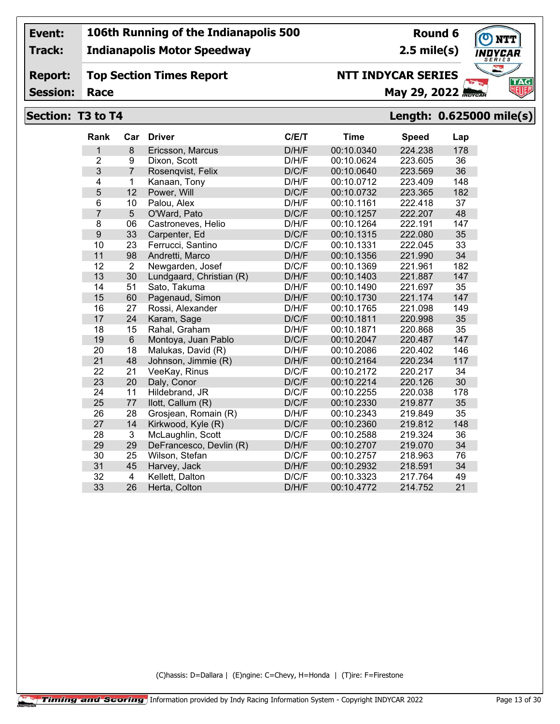**Track:**

#### **Indianapolis Motor Speedway**

#### **Report: Top Section Times Report**

**Session:**

## **NTT INDYCAR SERIES**

**Race May 29, 2022** *May 29, 2022* 

#### **Section: T3 to T4 Length: 0.625000 mile(s)**

| Rank           | Car            | <b>Driver</b>            | C/E/T | <b>Time</b> | <b>Speed</b> | Lap |
|----------------|----------------|--------------------------|-------|-------------|--------------|-----|
| 1              | 8              | Ericsson, Marcus         | D/H/F | 00:10.0340  | 224.238      | 178 |
| $\overline{2}$ | 9              | Dixon, Scott             | D/H/F | 00:10.0624  | 223.605      | 36  |
| 3              | $\overline{7}$ | Rosenqvist, Felix        | D/C/F | 00:10.0640  | 223.569      | 36  |
| 4              | $\mathbf{1}$   | Kanaan, Tony             | D/H/F | 00:10.0712  | 223.409      | 148 |
| 5              | 12             | Power, Will              | D/C/F | 00:10.0732  | 223.365      | 182 |
| 6              | 10             | Palou, Alex              | D/H/F | 00:10.1161  | 222.418      | 37  |
| $\overline{7}$ | 5              | O'Ward, Pato             | D/C/F | 00:10.1257  | 222.207      | 48  |
| 8              | 06             | Castroneves, Helio       | D/H/F | 00:10.1264  | 222.191      | 147 |
| 9              | 33             | Carpenter, Ed            | D/C/F | 00:10.1315  | 222.080      | 35  |
| 10             | 23             | Ferrucci, Santino        | D/C/F | 00:10.1331  | 222.045      | 33  |
| 11             | 98             | Andretti, Marco          | D/H/F | 00:10.1356  | 221.990      | 34  |
| 12             | $\overline{2}$ | Newgarden, Josef         | D/C/F | 00:10.1369  | 221.961      | 182 |
| 13             | 30             | Lundgaard, Christian (R) | D/H/F | 00:10.1403  | 221.887      | 147 |
| 14             | 51             | Sato, Takuma             | D/H/F | 00:10.1490  | 221.697      | 35  |
| 15             | 60             | Pagenaud, Simon          | D/H/F | 00:10.1730  | 221.174      | 147 |
| 16             | 27             | Rossi, Alexander         | D/H/F | 00:10.1765  | 221.098      | 149 |
| 17             | 24             | Karam, Sage              | D/C/F | 00:10.1811  | 220.998      | 35  |
| 18             | 15             | Rahal, Graham            | D/H/F | 00:10.1871  | 220.868      | 35  |
| 19             | $6\phantom{a}$ | Montoya, Juan Pablo      | D/C/F | 00:10.2047  | 220.487      | 147 |
| 20             | 18             | Malukas, David (R)       | D/H/F | 00:10.2086  | 220.402      | 146 |
| 21             | 48             | Johnson, Jimmie (R)      | D/H/F | 00:10.2164  | 220.234      | 117 |
| 22             | 21             | VeeKay, Rinus            | D/C/F | 00:10.2172  | 220.217      | 34  |
| 23             | 20             | Daly, Conor              | D/C/F | 00:10.2214  | 220.126      | 30  |
| 24             | 11             | Hildebrand, JR           | D/C/F | 00:10.2255  | 220.038      | 178 |
| 25             | 77             | llott, Callum (R)        | D/C/F | 00:10.2330  | 219.877      | 35  |
| 26             | 28             | Grosjean, Romain (R)     | D/H/F | 00:10.2343  | 219.849      | 35  |
| 27             | 14             | Kirkwood, Kyle (R)       | D/C/F | 00:10.2360  | 219.812      | 148 |
| 28             | 3              | McLaughlin, Scott        | D/C/F | 00:10.2588  | 219.324      | 36  |
| 29             | 29             | DeFrancesco, Devlin (R)  | D/H/F | 00:10.2707  | 219.070      | 34  |
| 30             | 25             | Wilson, Stefan           | D/C/F | 00:10.2757  | 218.963      | 76  |
| 31             | 45             | Harvey, Jack             | D/H/F | 00:10.2932  | 218.591      | 34  |
| 32             | $\overline{4}$ | Kellett, Dalton          | D/C/F | 00:10.3323  | 217.764      | 49  |
| 33             | 26             | Herta, Colton            | D/H/F | 00:10.4772  | 214.752      | 21  |

(C)hassis: D=Dallara | (E)ngine: C=Chevy, H=Honda | (T)ire: F=Firestone



**Round 6 2.5 mile(s)**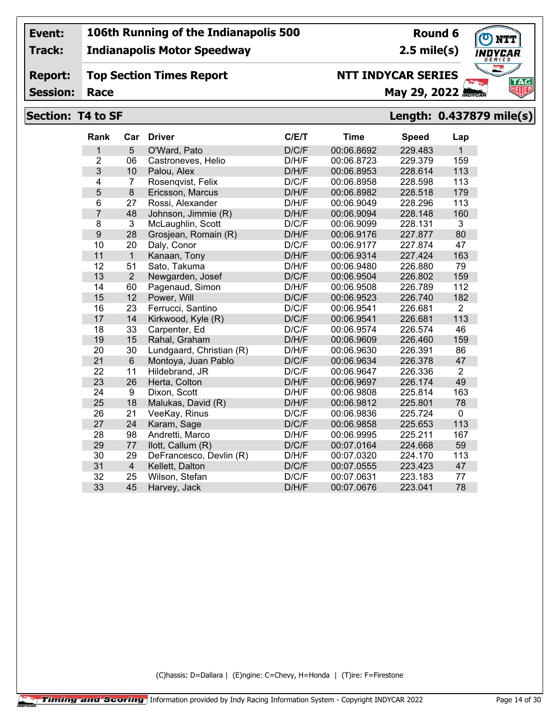**Track:**

#### **Indianapolis Motor Speedway**

#### **Report: Top Section Times Report**

**Session:**

## **NTT INDYCAR SERIES**

**Race May 29, 2022** *May 29, 2022* 

#### **Section: T4 to SF Length: 0.437879 mile(s)**

| <b>Rank</b>    | Car            | <b>Driver</b>            | C/E/T | <b>Time</b> | <b>Speed</b> | Lap            |
|----------------|----------------|--------------------------|-------|-------------|--------------|----------------|
| 1              | 5              | O'Ward, Pato             | D/C/F | 00:06.8692  | 229.483      | $\mathbf{1}$   |
| $\overline{2}$ | 06             | Castroneves, Helio       | D/H/F | 00:06.8723  | 229.379      | 159            |
| 3              | 10             | Palou, Alex              | D/H/F | 00:06.8953  | 228.614      | 113            |
| 4              | 7              | Rosenqvist, Felix        | D/C/F | 00:06.8958  | 228.598      | 113            |
| 5              | 8              | Ericsson, Marcus         | D/H/F | 00:06.8982  | 228.518      | 179            |
| 6              | 27             | Rossi, Alexander         | D/H/F | 00:06.9049  | 228.296      | 113            |
| $\overline{7}$ | 48             | Johnson, Jimmie (R)      | D/H/F | 00:06.9094  | 228.148      | 160            |
| 8              | 3              | McLaughlin, Scott        | D/C/F | 00:06.9099  | 228.131      | 3              |
| 9              | 28             | Grosjean, Romain (R)     | D/H/F | 00:06.9176  | 227.877      | 80             |
| 10             | 20             | Daly, Conor              | D/C/F | 00:06.9177  | 227.874      | 47             |
| 11             | $\mathbf{1}$   | Kanaan, Tony             | D/H/F | 00:06.9314  | 227.424      | 163            |
| 12             | 51             | Sato, Takuma             | D/H/F | 00:06.9480  | 226.880      | 79             |
| 13             | $\overline{2}$ | Newgarden, Josef         | D/C/F | 00:06.9504  | 226.802      | 159            |
| 14             | 60             | Pagenaud, Simon          | D/H/F | 00:06.9508  | 226.789      | 112            |
| 15             | 12             | Power, Will              | D/C/F | 00:06.9523  | 226.740      | 182            |
| 16             | 23             | Ferrucci, Santino        | D/C/F | 00:06.9541  | 226.681      | $\overline{2}$ |
| 17             | 14             | Kirkwood, Kyle (R)       | D/C/F | 00:06.9541  | 226.681      | 113            |
| 18             | 33             | Carpenter, Ed            | D/C/F | 00:06.9574  | 226.574      | 46             |
| 19             | 15             | Rahal, Graham            | D/H/F | 00:06.9609  | 226.460      | 159            |
| 20             | 30             | Lundgaard, Christian (R) | D/H/F | 00:06.9630  | 226.391      | 86             |
| 21             | $6\phantom{1}$ | Montoya, Juan Pablo      | D/C/F | 00:06.9634  | 226.378      | 47             |
| 22             | 11             | Hildebrand, JR           | D/C/F | 00:06.9647  | 226.336      | $\overline{2}$ |
| 23             | 26             | Herta, Colton            | D/H/F | 00:06.9697  | 226.174      | 49             |
| 24             | 9              | Dixon, Scott             | D/H/F | 00:06.9808  | 225.814      | 163            |
| 25             | 18             | Malukas, David (R)       | D/H/F | 00:06.9812  | 225.801      | 78             |
| 26             | 21             | VeeKay, Rinus            | D/C/F | 00:06.9836  | 225.724      | $\Omega$       |
| 27             | 24             | Karam, Sage              | D/C/F | 00:06.9858  | 225.653      | 113            |
| 28             | 98             | Andretti, Marco          | D/H/F | 00:06.9995  | 225.211      | 167            |
| 29             | 77             | llott, Callum (R)        | D/C/F | 00:07.0164  | 224.668      | 59             |
| 30             | 29             | DeFrancesco, Devlin (R)  | D/H/F | 00:07.0320  | 224.170      | 113            |
| 31             | $\overline{4}$ | Kellett, Dalton          | D/C/F | 00:07.0555  | 223.423      | 47             |
| 32             | 25             | Wilson, Stefan           | D/C/F | 00:07.0631  | 223.183      | 77             |
| 33             | 45             | Harvey, Jack             | D/H/F | 00:07.0676  | 223.041      | 78             |

(C)hassis: D=Dallara | (E)ngine: C=Chevy, H=Honda | (T)ire: F=Firestone



**Round 6 2.5 mile(s)**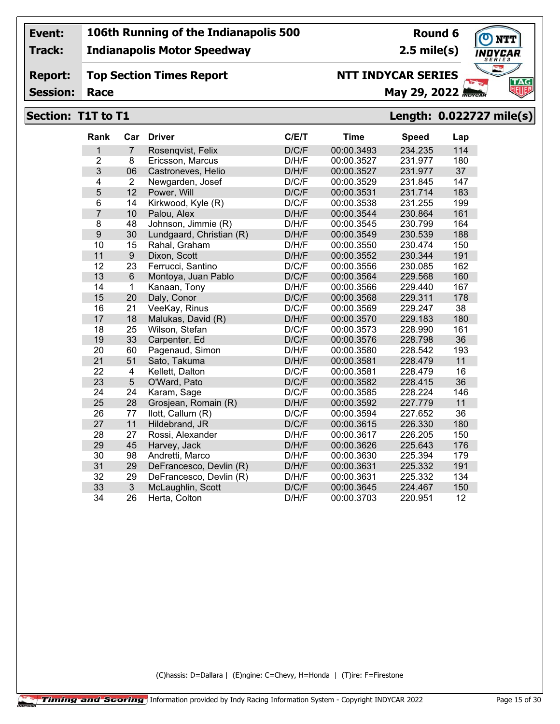**Track:**

**Session:**

#### **Indianapolis Motor Speedway**

#### **Report: Top Section Times Report**

**Round 6 2.5 mile(s)**

**NTT INDYCAR SERIES**

**TAG** 

## **Race May 29, 2022** *Race*

# **Section: T1T to T1 Length: 0.022727 mile(s)**

| Rank           | Car            | <b>Driver</b>            | C/E/T | <b>Time</b> | <b>Speed</b> | Lap |
|----------------|----------------|--------------------------|-------|-------------|--------------|-----|
| 1              | $\overline{7}$ | Rosenqvist, Felix        | D/C/F | 00:00.3493  | 234.235      | 114 |
| $\overline{2}$ | 8              | Ericsson, Marcus         | D/H/F | 00:00.3527  | 231.977      | 180 |
| 3              | 06             | Castroneves, Helio       | D/H/F | 00:00.3527  | 231.977      | 37  |
| $\overline{4}$ | $\overline{2}$ | Newgarden, Josef         | D/C/F | 00:00.3529  | 231.845      | 147 |
| 5              | 12             | Power, Will              | D/C/F | 00:00.3531  | 231.714      | 183 |
| 6              | 14             | Kirkwood, Kyle (R)       | D/C/F | 00:00.3538  | 231.255      | 199 |
| $\overline{7}$ | 10             | Palou, Alex              | D/H/F | 00:00.3544  | 230.864      | 161 |
| 8              | 48             | Johnson, Jimmie (R)      | D/H/F | 00:00.3545  | 230.799      | 164 |
| 9              | 30             | Lundgaard, Christian (R) | D/H/F | 00:00.3549  | 230.539      | 188 |
| 10             | 15             | Rahal, Graham            | D/H/F | 00:00.3550  | 230.474      | 150 |
| 11             | 9              | Dixon, Scott             | D/H/F | 00:00.3552  | 230.344      | 191 |
| 12             | 23             | Ferrucci, Santino        | D/C/F | 00:00.3556  | 230.085      | 162 |
| 13             | 6              | Montoya, Juan Pablo      | D/C/F | 00:00.3564  | 229.568      | 160 |
| 14             | $\mathbf{1}$   | Kanaan, Tony             | D/H/F | 00:00.3566  | 229.440      | 167 |
| 15             | 20             | Daly, Conor              | D/C/F | 00:00.3568  | 229.311      | 178 |
| 16             | 21             | VeeKay, Rinus            | D/C/F | 00:00.3569  | 229.247      | 38  |
| 17             | 18             | Malukas, David (R)       | D/H/F | 00:00.3570  | 229.183      | 180 |
| 18             | 25             | Wilson, Stefan           | D/C/F | 00:00.3573  | 228.990      | 161 |
| 19             | 33             | Carpenter, Ed            | D/C/F | 00:00.3576  | 228.798      | 36  |
| 20             | 60             | Pagenaud, Simon          | D/H/F | 00:00.3580  | 228.542      | 193 |
| 21             | 51             | Sato, Takuma             | D/H/F | 00:00.3581  | 228.479      | 11  |
| 22             | 4              | Kellett, Dalton          | D/C/F | 00:00.3581  | 228.479      | 16  |
| 23             | 5              | O'Ward, Pato             | D/C/F | 00:00.3582  | 228.415      | 36  |
| 24             | 24             | Karam, Sage              | D/C/F | 00:00.3585  | 228.224      | 146 |
| 25             | 28             | Grosjean, Romain (R)     | D/H/F | 00:00.3592  | 227.779      | 11  |
| 26             | 77             | llott, Callum (R)        | D/C/F | 00:00.3594  | 227.652      | 36  |
| 27             | 11             | Hildebrand, JR           | D/C/F | 00:00.3615  | 226.330      | 180 |
| 28             | 27             | Rossi, Alexander         | D/H/F | 00:00.3617  | 226.205      | 150 |
| 29             | 45             | Harvey, Jack             | D/H/F | 00:00.3626  | 225.643      | 176 |
| 30             | 98             | Andretti, Marco          | D/H/F | 00:00.3630  | 225.394      | 179 |
| 31             | 29             | DeFrancesco, Devlin (R)  | D/H/F | 00:00.3631  | 225.332      | 191 |
| 32             | 29             | DeFrancesco, Devlin (R)  | D/H/F | 00:00.3631  | 225.332      | 134 |
| 33             | 3              | McLaughlin, Scott        | D/C/F | 00:00.3645  | 224.467      | 150 |
| 34             | 26             | Herta, Colton            | D/H/F | 00:00.3703  | 220.951      | 12  |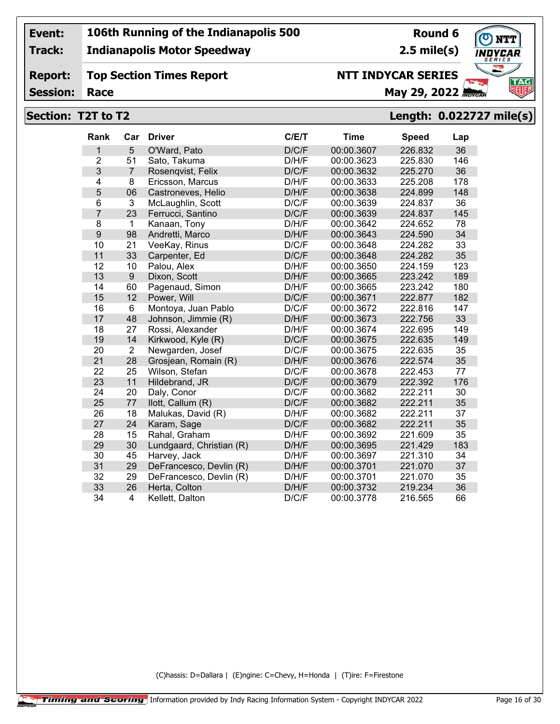**Track:**

**Report:**

#### **Indianapolis Motor Speedway**

## **Top Section Times Report**

**Round 6 2.5 mile(s)**

**TAG** 

#### **Session:**

## **Race May 29, 2022** *May 29, 2022*

**NTT INDYCAR SERIES**

### **Section: T2T to T2 Length: 0.022727 mile(s)**

| Rank           | Car            | <b>Driver</b>            | C/E/T | <b>Time</b> | <b>Speed</b> | Lap |
|----------------|----------------|--------------------------|-------|-------------|--------------|-----|
| 1              | 5              | O'Ward, Pato             | D/C/F | 00:00.3607  | 226.832      | 36  |
| $\overline{2}$ | 51             | Sato, Takuma             | D/H/F | 00:00.3623  | 225.830      | 146 |
| 3              | $\overline{7}$ | Rosenqvist, Felix        | D/C/F | 00:00.3632  | 225.270      | 36  |
| 4              | 8              | Ericsson, Marcus         | D/H/F | 00:00.3633  | 225.208      | 178 |
| 5              | 06             | Castroneves, Helio       | D/H/F | 00:00.3638  | 224.899      | 148 |
| 6              | 3              | McLaughlin, Scott        | D/C/F | 00:00.3639  | 224.837      | 36  |
| $\overline{7}$ | 23             | Ferrucci, Santino        | D/C/F | 00:00.3639  | 224.837      | 145 |
| 8              | $\mathbf 1$    | Kanaan, Tony             | D/H/F | 00:00.3642  | 224.652      | 78  |
| 9              | 98             | Andretti, Marco          | D/H/F | 00:00.3643  | 224.590      | 34  |
| 10             | 21             | VeeKay, Rinus            | D/C/F | 00:00.3648  | 224.282      | 33  |
| 11             | 33             | Carpenter, Ed            | D/C/F | 00:00.3648  | 224.282      | 35  |
| 12             | 10             | Palou, Alex              | D/H/F | 00:00.3650  | 224.159      | 123 |
| 13             | 9              | Dixon, Scott             | D/H/F | 00:00.3665  | 223.242      | 189 |
| 14             | 60             | Pagenaud, Simon          | D/H/F | 00:00.3665  | 223.242      | 180 |
| 15             | 12             | Power, Will              | D/C/F | 00:00.3671  | 222.877      | 182 |
| 16             | 6              | Montoya, Juan Pablo      | D/C/F | 00:00.3672  | 222.816      | 147 |
| 17             | 48             | Johnson, Jimmie (R)      | D/H/F | 00:00.3673  | 222.756      | 33  |
| 18             | 27             | Rossi, Alexander         | D/H/F | 00:00.3674  | 222.695      | 149 |
| 19             | 14             | Kirkwood, Kyle (R)       | D/C/F | 00:00.3675  | 222.635      | 149 |
| 20             | $\overline{2}$ | Newgarden, Josef         | D/C/F | 00:00.3675  | 222.635      | 35  |
| 21             | 28             | Grosjean, Romain (R)     | D/H/F | 00:00.3676  | 222.574      | 35  |
| 22             | 25             | Wilson, Stefan           | D/C/F | 00:00.3678  | 222.453      | 77  |
| 23             | 11             | Hildebrand, JR           | D/C/F | 00:00.3679  | 222.392      | 176 |
| 24             | 20             | Daly, Conor              | D/C/F | 00:00.3682  | 222.211      | 30  |
| 25             | 77             | llott, Callum (R)        | D/C/F | 00:00.3682  | 222.211      | 35  |
| 26             | 18             | Malukas, David (R)       | D/H/F | 00:00.3682  | 222.211      | 37  |
| 27             | 24             | Karam, Sage              | D/C/F | 00:00.3682  | 222.211      | 35  |
| 28             | 15             | Rahal, Graham            | D/H/F | 00:00.3692  | 221.609      | 35  |
| 29             | 30             | Lundgaard, Christian (R) | D/H/F | 00:00.3695  | 221.429      | 183 |
| 30             | 45             | Harvey, Jack             | D/H/F | 00:00.3697  | 221.310      | 34  |
| 31             | 29             | DeFrancesco, Devlin (R)  | D/H/F | 00:00.3701  | 221.070      | 37  |
| 32             | 29             | DeFrancesco, Devlin (R)  | D/H/F | 00:00.3701  | 221.070      | 35  |
| 33             | 26             | Herta, Colton            | D/H/F | 00:00.3732  | 219.234      | 36  |
| 34             | $\overline{4}$ | Kellett, Dalton          | D/C/F | 00:00.3778  | 216.565      | 66  |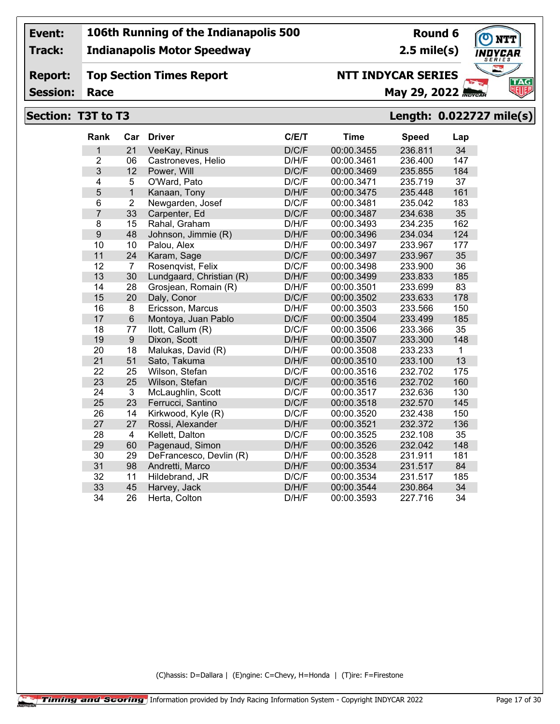**Track:**

**Report:**

#### **Indianapolis Motor Speedway**

**Top Section Times Report**

**Round 6 2.5 mile(s)**

# **TAG**

**Session:**

# **NTT INDYCAR SERIES**

# **Race May 29, 2022** *May 29, 2022*

## **Section: T3T to T3 Length: 0.022727 mile(s)**

| Rank           | Car                     | <b>Driver</b>            | C/E/T | <b>Time</b> | <b>Speed</b> | Lap |
|----------------|-------------------------|--------------------------|-------|-------------|--------------|-----|
| 1              | 21                      | VeeKay, Rinus            | D/C/F | 00:00.3455  | 236.811      | 34  |
| $\overline{2}$ | 06                      | Castroneves, Helio       | D/H/F | 00:00.3461  | 236.400      | 147 |
| 3              | 12                      | Power, Will              | D/C/F | 00:00.3469  | 235.855      | 184 |
| 4              | 5                       | O'Ward, Pato             | D/C/F | 00:00.3471  | 235.719      | 37  |
| 5              | $\mathbf{1}$            | Kanaan, Tony             | D/H/F | 00:00.3475  | 235.448      | 161 |
| 6              | $\overline{2}$          | Newgarden, Josef         | D/C/F | 00:00.3481  | 235.042      | 183 |
| $\overline{7}$ | 33                      | Carpenter, Ed            | D/C/F | 00:00.3487  | 234.638      | 35  |
| 8              | 15                      | Rahal, Graham            | D/H/F | 00:00.3493  | 234.235      | 162 |
| $\overline{9}$ | 48                      | Johnson, Jimmie (R)      | D/H/F | 00:00.3496  | 234.034      | 124 |
| 10             | 10                      | Palou, Alex              | D/H/F | 00:00.3497  | 233.967      | 177 |
| 11             | 24                      | Karam, Sage              | D/C/F | 00:00.3497  | 233.967      | 35  |
| 12             | 7                       | Rosengvist, Felix        | D/C/F | 00:00.3498  | 233.900      | 36  |
| 13             | 30                      | Lundgaard, Christian (R) | D/H/F | 00:00.3499  | 233.833      | 185 |
| 14             | 28                      | Grosjean, Romain (R)     | D/H/F | 00:00.3501  | 233.699      | 83  |
| 15             | 20                      | Daly, Conor              | D/C/F | 00:00.3502  | 233.633      | 178 |
| 16             | 8                       | Ericsson, Marcus         | D/H/F | 00:00.3503  | 233.566      | 150 |
| 17             | $6\phantom{1}$          | Montoya, Juan Pablo      | D/C/F | 00:00.3504  | 233.499      | 185 |
| 18             | 77                      | llott, Callum (R)        | D/C/F | 00:00.3506  | 233.366      | 35  |
| 19             | $\boldsymbol{9}$        | Dixon, Scott             | D/H/F | 00:00.3507  | 233.300      | 148 |
| 20             | 18                      | Malukas, David (R)       | D/H/F | 00:00.3508  | 233.233      | 1   |
| 21             | 51                      | Sato, Takuma             | D/H/F | 00:00.3510  | 233.100      | 13  |
| 22             | 25                      | Wilson, Stefan           | D/C/F | 00:00.3516  | 232.702      | 175 |
| 23             | 25                      | Wilson, Stefan           | D/C/F | 00:00.3516  | 232.702      | 160 |
| 24             | 3                       | McLaughlin, Scott        | D/C/F | 00:00.3517  | 232.636      | 130 |
| 25             | 23                      | Ferrucci, Santino        | D/C/F | 00:00.3518  | 232.570      | 145 |
| 26             | 14                      | Kirkwood, Kyle (R)       | D/C/F | 00:00.3520  | 232.438      | 150 |
| 27             | 27                      | Rossi, Alexander         | D/H/F | 00:00.3521  | 232.372      | 136 |
| 28             | $\overline{\mathbf{4}}$ | Kellett, Dalton          | D/C/F | 00:00.3525  | 232.108      | 35  |
| 29             | 60                      | Pagenaud, Simon          | D/H/F | 00:00.3526  | 232.042      | 148 |
| 30             | 29                      | DeFrancesco, Devlin (R)  | D/H/F | 00:00.3528  | 231.911      | 181 |
| 31             | 98                      | Andretti, Marco          | D/H/F | 00:00.3534  | 231.517      | 84  |
| 32             | 11                      | Hildebrand, JR           | D/C/F | 00:00.3534  | 231.517      | 185 |
| 33             | 45                      | Harvey, Jack             | D/H/F | 00:00.3544  | 230.864      | 34  |
| 34             | 26                      | Herta, Colton            | D/H/F | 00:00.3593  | 227.716      | 34  |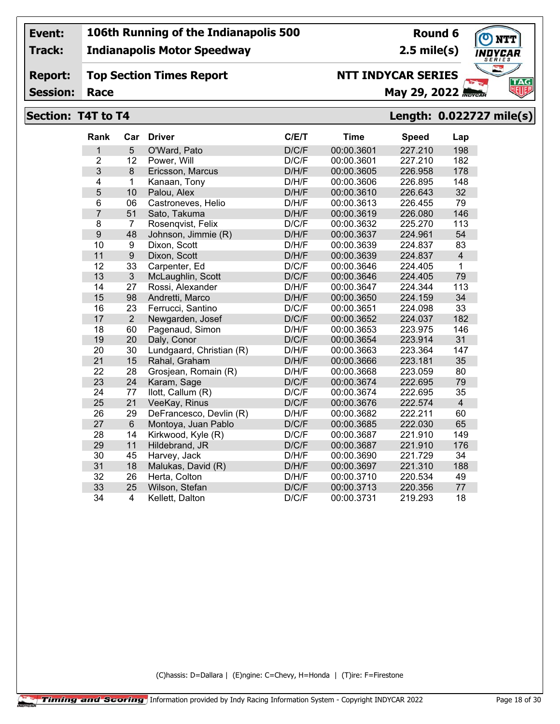**Track:**

### **Indianapolis Motor Speedway**

**Round 6 2.5 mile(s)**

**TAG** 

**Report: Top Section Times Report**

**Session:**

## **NTT INDYCAR SERIES**

**Race May 29, 2022** *May 29, 2022* 

#### **Section: T4T to T4 Length: 0.022727 mile(s)**

| <b>Rank</b>    | Car            | <b>Driver</b>            | C/E/T | <b>Time</b> | <b>Speed</b> | Lap            |
|----------------|----------------|--------------------------|-------|-------------|--------------|----------------|
| 1              | 5              | O'Ward, Pato             | D/C/F | 00:00.3601  | 227.210      | 198            |
| $\overline{2}$ | 12             | Power, Will              | D/C/F | 00:00.3601  | 227.210      | 182            |
| 3              | 8              | Ericsson, Marcus         | D/H/F | 00:00.3605  | 226.958      | 178            |
| 4              | 1              | Kanaan, Tony             | D/H/F | 00:00.3606  | 226.895      | 148            |
| 5              | 10             | Palou, Alex              | D/H/F | 00:00.3610  | 226.643      | 32             |
| 6              | 06             | Castroneves, Helio       | D/H/F | 00:00.3613  | 226.455      | 79             |
| $\overline{7}$ | 51             | Sato, Takuma             | D/H/F | 00:00.3619  | 226.080      | 146            |
| 8              | $\overline{7}$ | Rosenqvist, Felix        | D/C/F | 00:00.3632  | 225.270      | 113            |
| 9              | 48             | Johnson, Jimmie (R)      | D/H/F | 00:00.3637  | 224.961      | 54             |
| 10             | 9              | Dixon, Scott             | D/H/F | 00:00.3639  | 224.837      | 83             |
| 11             | 9              | Dixon, Scott             | D/H/F | 00:00.3639  | 224.837      | $\overline{4}$ |
| 12             | 33             | Carpenter, Ed            | D/C/F | 00:00.3646  | 224.405      | 1              |
| 13             | 3              | McLaughlin, Scott        | D/C/F | 00:00.3646  | 224.405      | 79             |
| 14             | 27             | Rossi, Alexander         | D/H/F | 00:00.3647  | 224.344      | 113            |
| 15             | 98             | Andretti, Marco          | D/H/F | 00:00.3650  | 224.159      | 34             |
| 16             | 23             | Ferrucci, Santino        | D/C/F | 00:00.3651  | 224.098      | 33             |
| 17             | $\overline{2}$ | Newgarden, Josef         | D/C/F | 00:00.3652  | 224.037      | 182            |
| 18             | 60             | Pagenaud, Simon          | D/H/F | 00:00.3653  | 223.975      | 146            |
| 19             | 20             | Daly, Conor              | D/C/F | 00:00.3654  | 223.914      | 31             |
| 20             | 30             | Lundgaard, Christian (R) | D/H/F | 00:00.3663  | 223.364      | 147            |
| 21             | 15             | Rahal, Graham            | D/H/F | 00:00.3666  | 223.181      | 35             |
| 22             | 28             | Grosjean, Romain (R)     | D/H/F | 00:00.3668  | 223.059      | 80             |
| 23             | 24             | Karam, Sage              | D/C/F | 00:00.3674  | 222.695      | 79             |
| 24             | 77             | llott, Callum (R)        | D/C/F | 00:00.3674  | 222.695      | 35             |
| 25             | 21             | VeeKay, Rinus            | D/C/F | 00:00.3676  | 222.574      | $\overline{4}$ |
| 26             | 29             | DeFrancesco, Devlin (R)  | D/H/F | 00:00.3682  | 222.211      | 60             |
| 27             | $6\phantom{a}$ | Montoya, Juan Pablo      | D/C/F | 00:00.3685  | 222.030      | 65             |
| 28             | 14             | Kirkwood, Kyle (R)       | D/C/F | 00:00.3687  | 221.910      | 149            |
| 29             | 11             | Hildebrand, JR           | D/C/F | 00:00.3687  | 221.910      | 176            |
| 30             | 45             | Harvey, Jack             | D/H/F | 00:00.3690  | 221.729      | 34             |
| 31             | 18             | Malukas, David (R)       | D/H/F | 00:00.3697  | 221.310      | 188            |
| 32             | 26             | Herta, Colton            | D/H/F | 00:00.3710  | 220.534      | 49             |
| 33             | 25             | Wilson, Stefan           | D/C/F | 00:00.3713  | 220.356      | 77             |
| 34             | 4              | Kellett, Dalton          | D/C/F | 00:00.3731  | 219.293      | 18             |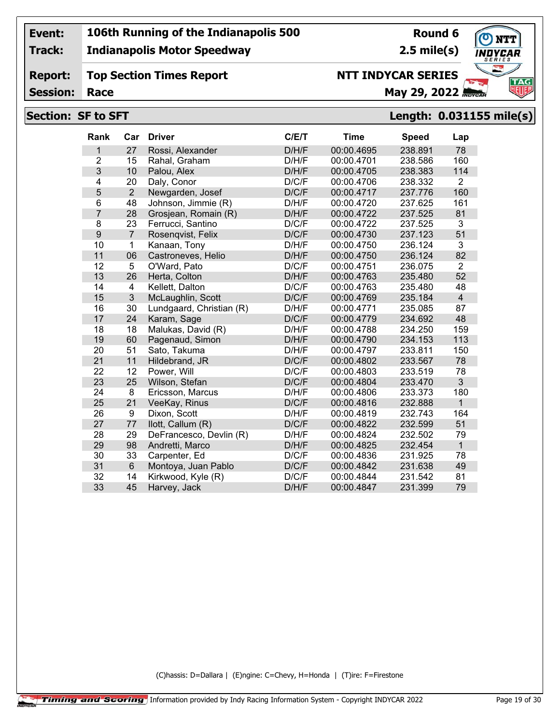**Track:**

**Report:**

#### **Indianapolis Motor Speedway**

**Top Section Times Report**

## **Round 6**

**2.5 mile(s)**

# **TAG**

**Session:**

## **NTT INDYCAR SERIES**

**Race May 29, 2022** *Race* 

#### **Section: SF to SFT Length: 0.031155 mile(s)**

| Rank             | Car            | <b>Driver</b>            | C/E/T | <b>Time</b> | <b>Speed</b> | Lap            |
|------------------|----------------|--------------------------|-------|-------------|--------------|----------------|
| 1                | 27             | Rossi, Alexander         | D/H/F | 00:00.4695  | 238.891      | 78             |
| $\overline{2}$   | 15             | Rahal, Graham            | D/H/F | 00:00.4701  | 238.586      | 160            |
| 3                | 10             | Palou, Alex              | D/H/F | 00:00.4705  | 238.383      | 114            |
| $\overline{4}$   | 20             | Daly, Conor              | D/C/F | 00:00.4706  | 238.332      | 2              |
| 5                | $\overline{2}$ | Newgarden, Josef         | D/C/F | 00:00.4717  | 237.776      | 160            |
| 6                | 48             | Johnson, Jimmie (R)      | D/H/F | 00:00.4720  | 237.625      | 161            |
| $\overline{7}$   | 28             | Grosjean, Romain (R)     | D/H/F | 00:00.4722  | 237.525      | 81             |
| 8                | 23             | Ferrucci, Santino        | D/C/F | 00:00.4722  | 237.525      | 3              |
| $\boldsymbol{9}$ | $\overline{7}$ | Rosenqvist, Felix        | D/C/F | 00:00.4730  | 237.123      | 51             |
| 10               | $\mathbf 1$    | Kanaan, Tony             | D/H/F | 00:00.4750  | 236.124      | 3              |
| 11               | 06             | Castroneves, Helio       | D/H/F | 00:00.4750  | 236.124      | 82             |
| 12               | 5              | O'Ward, Pato             | D/C/F | 00:00.4751  | 236.075      | 2              |
| 13               | 26             | Herta, Colton            | D/H/F | 00:00.4763  | 235.480      | 52             |
| 14               | 4              | Kellett, Dalton          | D/C/F | 00:00.4763  | 235.480      | 48             |
| 15               | $\overline{3}$ | McLaughlin, Scott        | D/C/F | 00:00.4769  | 235.184      | $\overline{4}$ |
| 16               | 30             | Lundgaard, Christian (R) | D/H/F | 00:00.4771  | 235.085      | 87             |
| 17               | 24             | Karam, Sage              | D/C/F | 00:00.4779  | 234.692      | 48             |
| 18               | 18             | Malukas, David (R)       | D/H/F | 00:00.4788  | 234.250      | 159            |
| 19               | 60             | Pagenaud, Simon          | D/H/F | 00:00.4790  | 234.153      | 113            |
| 20               | 51             | Sato, Takuma             | D/H/F | 00:00.4797  | 233.811      | 150            |
| 21               | 11             | Hildebrand, JR           | D/C/F | 00:00.4802  | 233.567      | 78             |
| 22               | 12             | Power, Will              | D/C/F | 00:00.4803  | 233.519      | 78             |
| 23               | 25             | Wilson, Stefan           | D/C/F | 00:00.4804  | 233.470      | 3              |
| 24               | 8              | Ericsson, Marcus         | D/H/F | 00:00.4806  | 233.373      | 180            |
| 25               | 21             | VeeKay, Rinus            | D/C/F | 00:00.4816  | 232.888      | $\mathbf{1}$   |
| 26               | 9              | Dixon, Scott             | D/H/F | 00:00.4819  | 232.743      | 164            |
| 27               | 77             | llott, Callum (R)        | D/C/F | 00:00.4822  | 232.599      | 51             |
| 28               | 29             | DeFrancesco, Devlin (R)  | D/H/F | 00:00.4824  | 232.502      | 79             |
| 29               | 98             | Andretti, Marco          | D/H/F | 00:00.4825  | 232.454      | $\overline{1}$ |
| 30               | 33             | Carpenter, Ed            | D/C/F | 00:00.4836  | 231.925      | 78             |
| 31               | $6\phantom{1}$ | Montoya, Juan Pablo      | D/C/F | 00:00.4842  | 231.638      | 49             |
| 32               | 14             | Kirkwood, Kyle (R)       | D/C/F | 00:00.4844  | 231.542      | 81             |
| 33               | 45             | Harvey, Jack             | D/H/F | 00:00.4847  | 231.399      | 79             |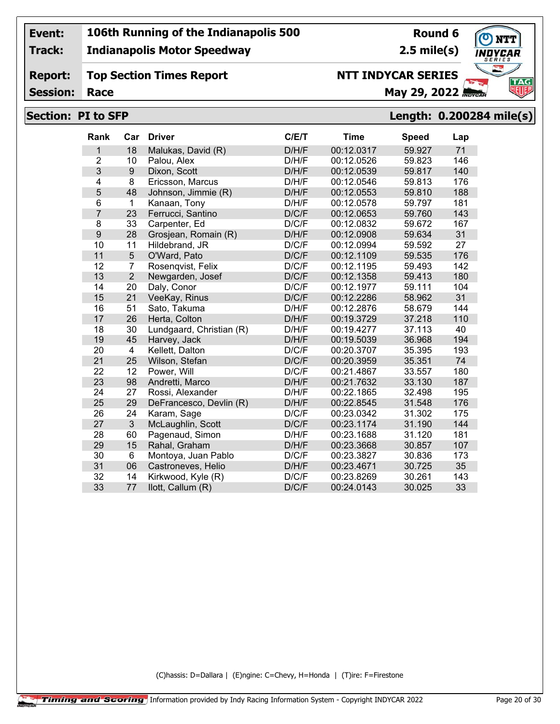**Track:**

**Report:**

#### **Indianapolis Motor Speedway**

**Top Section Times Report**

## **Round 6**

**2.5 mile(s)**



**Session:**

## **NTT INDYCAR SERIES**

**Race May 29, 2022** *May 29, 2022* 

#### **Section: PI to SFP Length: 0.200284 mile(s)**

| <b>Rank</b>    | Car            | <b>Driver</b>            | C/E/T | <b>Time</b> | <b>Speed</b> | Lap |
|----------------|----------------|--------------------------|-------|-------------|--------------|-----|
| 1              | 18             | Malukas, David (R)       | D/H/F | 00:12.0317  | 59.927       | 71  |
| $\overline{2}$ | 10             | Palou, Alex              | D/H/F | 00:12.0526  | 59.823       | 146 |
| 3              | 9              | Dixon, Scott             | D/H/F | 00:12.0539  | 59.817       | 140 |
| $\overline{4}$ | 8              | Ericsson, Marcus         | D/H/F | 00:12.0546  | 59.813       | 176 |
| 5              | 48             | Johnson, Jimmie (R)      | D/H/F | 00:12.0553  | 59.810       | 188 |
| 6              | 1              | Kanaan, Tony             | D/H/F | 00:12.0578  | 59.797       | 181 |
| $\overline{7}$ | 23             | Ferrucci, Santino        | D/C/F | 00:12.0653  | 59.760       | 143 |
| 8              | 33             | Carpenter, Ed            | D/C/F | 00:12.0832  | 59.672       | 167 |
| 9              | 28             | Grosjean, Romain (R)     | D/H/F | 00:12.0908  | 59.634       | 31  |
| 10             | 11             | Hildebrand, JR           | D/C/F | 00:12.0994  | 59.592       | 27  |
| 11             | 5              | O'Ward, Pato             | D/C/F | 00:12.1109  | 59.535       | 176 |
| 12             | 7              | Rosenqvist, Felix        | D/C/F | 00:12.1195  | 59.493       | 142 |
| 13             | $\overline{2}$ | Newgarden, Josef         | D/C/F | 00:12.1358  | 59.413       | 180 |
| 14             | 20             | Daly, Conor              | D/C/F | 00:12.1977  | 59.111       | 104 |
| 15             | 21             | VeeKay, Rinus            | D/C/F | 00:12.2286  | 58.962       | 31  |
| 16             | 51             | Sato, Takuma             | D/H/F | 00:12.2876  | 58.679       | 144 |
| 17             | 26             | Herta, Colton            | D/H/F | 00:19.3729  | 37.218       | 110 |
| 18             | 30             | Lundgaard, Christian (R) | D/H/F | 00:19.4277  | 37.113       | 40  |
| 19             | 45             | Harvey, Jack             | D/H/F | 00:19.5039  | 36.968       | 194 |
| 20             | 4              | Kellett, Dalton          | D/C/F | 00:20.3707  | 35.395       | 193 |
| 21             | 25             | Wilson, Stefan           | D/C/F | 00:20.3959  | 35.351       | 74  |
| 22             | 12             | Power, Will              | D/C/F | 00:21.4867  | 33.557       | 180 |
| 23             | 98             | Andretti, Marco          | D/H/F | 00:21.7632  | 33.130       | 187 |
| 24             | 27             | Rossi, Alexander         | D/H/F | 00:22.1865  | 32.498       | 195 |
| 25             | 29             | DeFrancesco, Devlin (R)  | D/H/F | 00:22.8545  | 31.548       | 176 |
| 26             | 24             | Karam, Sage              | D/C/F | 00:23.0342  | 31.302       | 175 |
| 27             | 3              | McLaughlin, Scott        | D/C/F | 00:23.1174  | 31.190       | 144 |
| 28             | 60             | Pagenaud, Simon          | D/H/F | 00:23.1688  | 31.120       | 181 |
| 29             | 15             | Rahal, Graham            | D/H/F | 00:23.3668  | 30.857       | 107 |
| 30             | $6\phantom{1}$ | Montoya, Juan Pablo      | D/C/F | 00:23.3827  | 30.836       | 173 |
| 31             | 06             | Castroneves, Helio       | D/H/F | 00:23.4671  | 30.725       | 35  |
| 32             | 14             | Kirkwood, Kyle (R)       | D/C/F | 00:23.8269  | 30.261       | 143 |
|                |                |                          |       |             |              |     |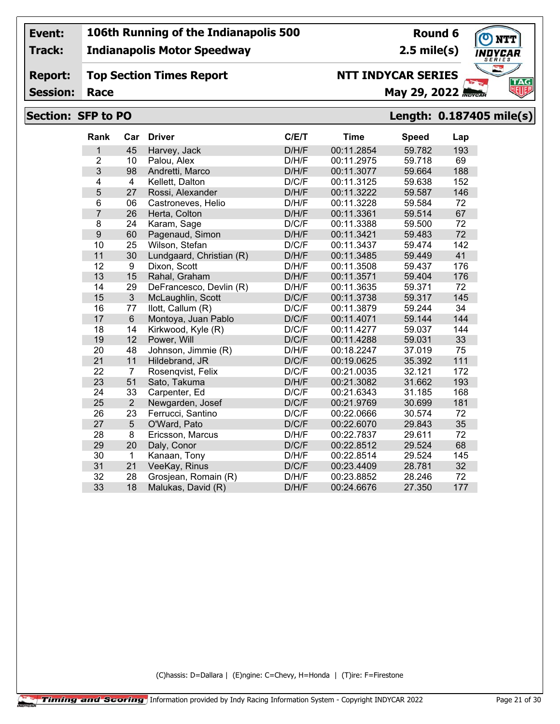**Track:**

#### **Indianapolis Motor Speedway**

**Round 6 2.5 mile(s)**

**TAG** 

#### **Report: Top Section Times Report**

**Session:**

## **Race May 29, 2022** *May 29, 2022* **NTT INDYCAR SERIES**

#### **Section: SFP to PO Length: 0.187405 mile(s)**

| Rank           | Car            | <b>Driver</b>            | C/E/T | <b>Time</b> | <b>Speed</b> | Lap |
|----------------|----------------|--------------------------|-------|-------------|--------------|-----|
| 1              | 45             | Harvey, Jack             | D/H/F | 00:11.2854  | 59.782       | 193 |
| $\overline{2}$ | 10             | Palou, Alex              | D/H/F | 00:11.2975  | 59.718       | 69  |
| 3              | 98             | Andretti, Marco          | D/H/F | 00:11.3077  | 59.664       | 188 |
| 4              | $\overline{4}$ | Kellett, Dalton          | D/C/F | 00:11.3125  | 59.638       | 152 |
| 5              | 27             | Rossi, Alexander         | D/H/F | 00:11.3222  | 59.587       | 146 |
| 6              | 06             | Castroneves, Helio       | D/H/F | 00:11.3228  | 59.584       | 72  |
| $\overline{7}$ | 26             | Herta, Colton            | D/H/F | 00:11.3361  | 59.514       | 67  |
| 8              | 24             | Karam, Sage              | D/C/F | 00:11.3388  | 59.500       | 72  |
| 9              | 60             | Pagenaud, Simon          | D/H/F | 00:11.3421  | 59.483       | 72  |
| 10             | 25             | Wilson, Stefan           | D/C/F | 00:11.3437  | 59.474       | 142 |
| 11             | 30             | Lundgaard, Christian (R) | D/H/F | 00:11.3485  | 59.449       | 41  |
| 12             | 9              | Dixon, Scott             | D/H/F | 00:11.3508  | 59.437       | 176 |
| 13             | 15             | Rahal, Graham            | D/H/F | 00:11.3571  | 59.404       | 176 |
| 14             | 29             | DeFrancesco, Devlin (R)  | D/H/F | 00:11.3635  | 59.371       | 72  |
| 15             | $\overline{3}$ | McLaughlin, Scott        | D/C/F | 00:11.3738  | 59.317       | 145 |
| 16             | 77             | llott, Callum (R)        | D/C/F | 00:11.3879  | 59.244       | 34  |
| 17             | $6\,$          | Montoya, Juan Pablo      | D/C/F | 00:11.4071  | 59.144       | 144 |
| 18             | 14             | Kirkwood, Kyle (R)       | D/C/F | 00:11.4277  | 59.037       | 144 |
| 19             | 12             | Power, Will              | D/C/F | 00:11.4288  | 59.031       | 33  |
| 20             | 48             | Johnson, Jimmie (R)      | D/H/F | 00:18.2247  | 37.019       | 75  |
| 21             | 11             | Hildebrand, JR           | D/C/F | 00:19.0625  | 35.392       | 111 |
| 22             | 7              | Rosenqvist, Felix        | D/C/F | 00:21.0035  | 32.121       | 172 |
| 23             | 51             | Sato, Takuma             | D/H/F | 00:21.3082  | 31.662       | 193 |
| 24             | 33             | Carpenter, Ed            | D/C/F | 00:21.6343  | 31.185       | 168 |
| 25             | $\overline{2}$ | Newgarden, Josef         | D/C/F | 00:21.9769  | 30.699       | 181 |
| 26             | 23             | Ferrucci, Santino        | D/C/F | 00:22.0666  | 30.574       | 72  |
| 27             | 5              | O'Ward, Pato             | D/C/F | 00:22.6070  | 29.843       | 35  |
| 28             | 8              | Ericsson, Marcus         | D/H/F | 00:22.7837  | 29.611       | 72  |
| 29             | 20             | Daly, Conor              | D/C/F | 00:22.8512  | 29.524       | 68  |
| 30             | $\mathbf{1}$   | Kanaan, Tony             | D/H/F | 00:22.8514  | 29.524       | 145 |
| 31             | 21             | VeeKay, Rinus            | D/C/F | 00:23.4409  | 28.781       | 32  |
| 32             | 28             | Grosjean, Romain (R)     | D/H/F | 00:23.8852  | 28.246       | 72  |
| 33             | 18             | Malukas, David (R)       | D/H/F | 00:24.6676  | 27.350       | 177 |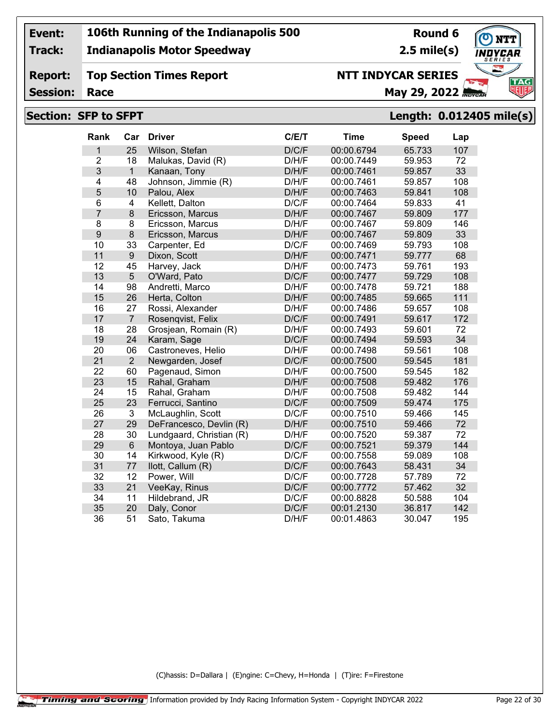**Track:**

**Report:**

#### **Indianapolis Motor Speedway**

**Top Section Times Report**

## **Round 6**

**2.5 mile(s)**

## **NTT** 'CAR **TAG** W

**Session:**

#### **Race May 29, 2022** *Race*

**NTT INDYCAR SERIES**

#### **Section: SFP to SFPT Length: 0.012405 mile(s)**

| Rank             | Car                     | <b>Driver</b>            | C/E/T | <b>Time</b> | <b>Speed</b> | Lap |
|------------------|-------------------------|--------------------------|-------|-------------|--------------|-----|
| 1                | 25                      | Wilson, Stefan           | D/C/F | 00:00.6794  | 65.733       | 107 |
| $\overline{2}$   | 18                      | Malukas, David (R)       | D/H/F | 00:00.7449  | 59.953       | 72  |
| 3                | $\mathbf{1}$            | Kanaan, Tony             | D/H/F | 00:00.7461  | 59.857       | 33  |
| 4                | 48                      | Johnson, Jimmie (R)      | D/H/F | 00:00.7461  | 59.857       | 108 |
| 5                | 10                      | Palou, Alex              | D/H/F | 00:00.7463  | 59.841       | 108 |
| 6                | $\overline{\mathbf{4}}$ | Kellett, Dalton          | D/C/F | 00:00.7464  | 59.833       | 41  |
| 7                | $\bf 8$                 | Ericsson, Marcus         | D/H/F | 00:00.7467  | 59.809       | 177 |
| 8                | 8                       | Ericsson, Marcus         | D/H/F | 00:00.7467  | 59.809       | 146 |
| $\boldsymbol{9}$ | 8                       | Ericsson, Marcus         | D/H/F | 00:00.7467  | 59.809       | 33  |
| 10               | 33                      | Carpenter, Ed            | D/C/F | 00:00.7469  | 59.793       | 108 |
| 11               | $9\,$                   | Dixon, Scott             | D/H/F | 00:00.7471  | 59.777       | 68  |
| 12               | 45                      | Harvey, Jack             | D/H/F | 00:00.7473  | 59.761       | 193 |
| 13               | 5                       | O'Ward, Pato             | D/C/F | 00:00.7477  | 59.729       | 108 |
| 14               | 98                      | Andretti, Marco          | D/H/F | 00:00.7478  | 59.721       | 188 |
| 15               | 26                      | Herta, Colton            | D/H/F | 00:00.7485  | 59.665       | 111 |
| 16               | 27                      | Rossi, Alexander         | D/H/F | 00:00.7486  | 59.657       | 108 |
| 17               | $\overline{7}$          | Rosenqvist, Felix        | D/C/F | 00:00.7491  | 59.617       | 172 |
| 18               | 28                      | Grosjean, Romain (R)     | D/H/F | 00:00.7493  | 59.601       | 72  |
| 19               | 24                      | Karam, Sage              | D/C/F | 00:00.7494  | 59.593       | 34  |
| 20               | 06                      | Castroneves, Helio       | D/H/F | 00:00.7498  | 59.561       | 108 |
| 21               | $\overline{2}$          | Newgarden, Josef         | D/C/F | 00:00.7500  | 59.545       | 181 |
| 22               | 60                      | Pagenaud, Simon          | D/H/F | 00:00.7500  | 59.545       | 182 |
| 23               | 15                      | Rahal, Graham            | D/H/F | 00:00.7508  | 59.482       | 176 |
| 24               | 15                      | Rahal, Graham            | D/H/F | 00:00.7508  | 59.482       | 144 |
| 25               | 23                      | Ferrucci, Santino        | D/C/F | 00:00.7509  | 59.474       | 175 |
| 26               | 3                       | McLaughlin, Scott        | D/C/F | 00:00.7510  | 59.466       | 145 |
| 27               | 29                      | DeFrancesco, Devlin (R)  | D/H/F | 00:00.7510  | 59.466       | 72  |
| 28               | 30                      | Lundgaard, Christian (R) | D/H/F | 00:00.7520  | 59.387       | 72  |
| 29               | $\,6\,$                 | Montoya, Juan Pablo      | D/C/F | 00:00.7521  | 59.379       | 144 |
| 30               | 14                      | Kirkwood, Kyle (R)       | D/C/F | 00:00.7558  | 59.089       | 108 |
| 31               | 77                      | llott, Callum (R)        | D/C/F | 00:00.7643  | 58.431       | 34  |
| 32               | 12                      | Power, Will              | D/C/F | 00:00.7728  | 57.789       | 72  |
| 33               | 21                      | VeeKay, Rinus            | D/C/F | 00:00.7772  | 57.462       | 32  |
| 34               | 11                      | Hildebrand, JR           | D/C/F | 00:00.8828  | 50.588       | 104 |
| 35               | 20                      | Daly, Conor              | D/C/F | 00:01.2130  | 36.817       | 142 |
| 36               | 51                      | Sato, Takuma             | D/H/F | 00:01.4863  | 30.047       | 195 |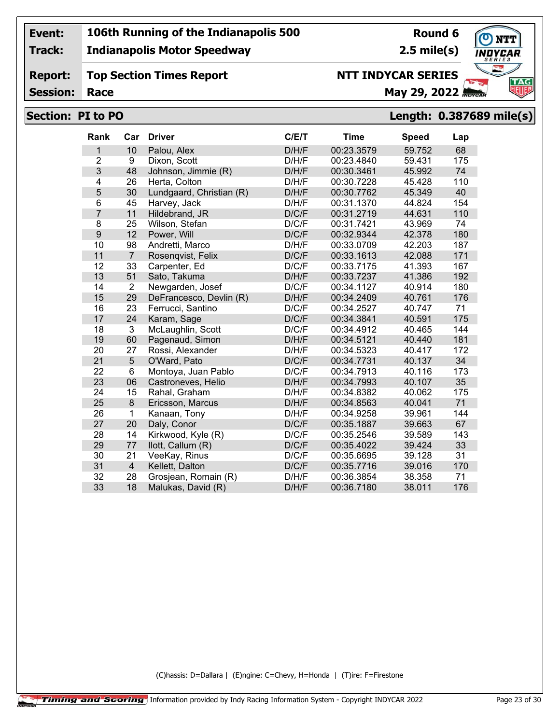**Track:**

**Report:**

#### **Indianapolis Motor Speedway**

**Top Section Times Report**

**Round 6 2.5 mile(s)**

**TAG** 

**Session:**

## **NTT INDYCAR SERIES**

**Race May 29, 2022** *May 29, 2022* 

#### **Section: PI to PO Length: 0.387689 mile(s)**

| Rank           | Car            | <b>Driver</b>            | C/E/T | <b>Time</b> | <b>Speed</b> | Lap |
|----------------|----------------|--------------------------|-------|-------------|--------------|-----|
| 1              | 10             | Palou, Alex              | D/H/F | 00:23.3579  | 59.752       | 68  |
| $\overline{2}$ | 9              | Dixon, Scott             | D/H/F | 00:23.4840  | 59.431       | 175 |
| 3              | 48             | Johnson, Jimmie (R)      | D/H/F | 00:30.3461  | 45.992       | 74  |
| 4              | 26             | Herta, Colton            | D/H/F | 00:30.7228  | 45.428       | 110 |
| 5              | 30             | Lundgaard, Christian (R) | D/H/F | 00:30.7762  | 45.349       | 40  |
| 6              | 45             | Harvey, Jack             | D/H/F | 00:31.1370  | 44.824       | 154 |
| $\overline{7}$ | 11             | Hildebrand, JR           | D/C/F | 00:31.2719  | 44.631       | 110 |
| 8              | 25             | Wilson, Stefan           | D/C/F | 00:31.7421  | 43.969       | 74  |
| 9              | 12             | Power, Will              | D/C/F | 00:32.9344  | 42.378       | 180 |
| 10             | 98             | Andretti, Marco          | D/H/F | 00:33.0709  | 42.203       | 187 |
| 11             | $\overline{7}$ | Rosenqvist, Felix        | D/C/F | 00:33.1613  | 42.088       | 171 |
| 12             | 33             | Carpenter, Ed            | D/C/F | 00:33.7175  | 41.393       | 167 |
| 13             | 51             | Sato, Takuma             | D/H/F | 00:33.7237  | 41.386       | 192 |
| 14             | $\overline{2}$ | Newgarden, Josef         | D/C/F | 00:34.1127  | 40.914       | 180 |
| 15             | 29             | DeFrancesco, Devlin (R)  | D/H/F | 00:34.2409  | 40.761       | 176 |
| 16             | 23             | Ferrucci, Santino        | D/C/F | 00:34.2527  | 40.747       | 71  |
| 17             | 24             | Karam, Sage              | D/C/F | 00:34.3841  | 40.591       | 175 |
| 18             | 3              | McLaughlin, Scott        | D/C/F | 00:34.4912  | 40.465       | 144 |
| 19             | 60             | Pagenaud, Simon          | D/H/F | 00:34.5121  | 40.440       | 181 |
| 20             | 27             | Rossi, Alexander         | D/H/F | 00:34.5323  | 40.417       | 172 |
| 21             | 5              | O'Ward, Pato             | D/C/F | 00:34.7731  | 40.137       | 34  |
| 22             | 6              | Montoya, Juan Pablo      | D/C/F | 00:34.7913  | 40.116       | 173 |
| 23             | 06             | Castroneves, Helio       | D/H/F | 00:34.7993  | 40.107       | 35  |
| 24             | 15             | Rahal, Graham            | D/H/F | 00:34.8382  | 40.062       | 175 |
| 25             | 8              | Ericsson, Marcus         | D/H/F | 00:34.8563  | 40.041       | 71  |
| 26             | 1              | Kanaan, Tony             | D/H/F | 00:34.9258  | 39.961       | 144 |
| 27             | 20             | Daly, Conor              | D/C/F | 00:35.1887  | 39.663       | 67  |
| 28             | 14             | Kirkwood, Kyle (R)       | D/C/F | 00:35.2546  | 39.589       | 143 |
| 29             | 77             | llott, Callum (R)        | D/C/F | 00:35.4022  | 39.424       | 33  |
| 30             | 21             | VeeKay, Rinus            | D/C/F | 00:35.6695  | 39.128       | 31  |
| 31             | $\overline{4}$ | Kellett, Dalton          | D/C/F | 00:35.7716  | 39.016       | 170 |
| 32             | 28             | Grosjean, Romain (R)     | D/H/F | 00:36.3854  | 38.358       | 71  |
| 33             | 18             | Malukas, David (R)       | D/H/F | 00:36.7180  | 38.011       | 176 |
|                |                |                          |       |             |              |     |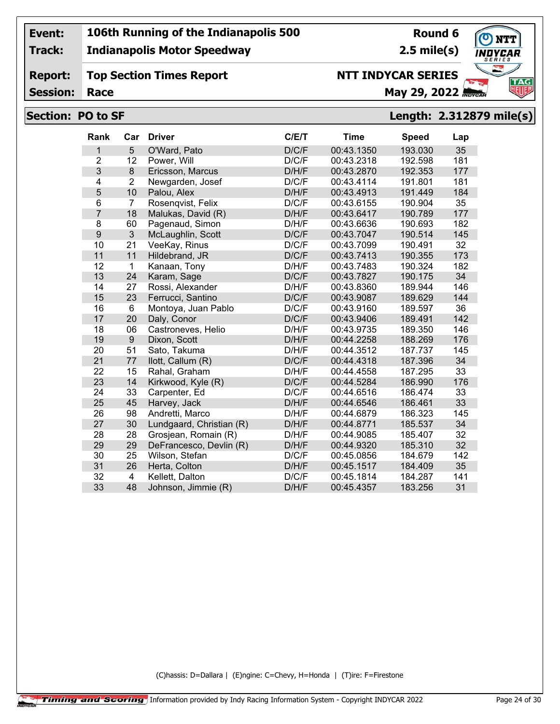**Track:**

**Report:**

#### **Indianapolis Motor Speedway**

**Top Section Times Report**

## **Round 6**

**2.5 mile(s)**

# **TAG**

**Session:**

## **Race May 29, 2022** *May 29, 2022*

#### **Section: PO to SF Length: 2.312879 mile(s)**

**NTT INDYCAR SERIES**

| Rank           | Car            | <b>Driver</b>            | C/E/T | <b>Time</b> | <b>Speed</b> | Lap |
|----------------|----------------|--------------------------|-------|-------------|--------------|-----|
| 1              | 5              | O'Ward, Pato             | D/C/F | 00:43.1350  | 193.030      | 35  |
| $\overline{2}$ | 12             | Power, Will              | D/C/F | 00:43.2318  | 192.598      | 181 |
| 3              | 8              | Ericsson, Marcus         | D/H/F | 00:43.2870  | 192.353      | 177 |
| 4              | $\overline{2}$ | Newgarden, Josef         | D/C/F | 00:43.4114  | 191.801      | 181 |
| 5              | 10             | Palou, Alex              | D/H/F | 00:43.4913  | 191.449      | 184 |
| 6              | $\overline{7}$ | Rosenqvist, Felix        | D/C/F | 00:43.6155  | 190.904      | 35  |
| $\overline{7}$ | 18             | Malukas, David (R)       | D/H/F | 00:43.6417  | 190.789      | 177 |
| 8              | 60             | Pagenaud, Simon          | D/H/F | 00:43.6636  | 190.693      | 182 |
| 9              | 3              | McLaughlin, Scott        | D/C/F | 00:43.7047  | 190.514      | 145 |
| 10             | 21             | VeeKay, Rinus            | D/C/F | 00:43.7099  | 190.491      | 32  |
| 11             | 11             | Hildebrand, JR           | D/C/F | 00:43.7413  | 190.355      | 173 |
| 12             | 1              | Kanaan, Tony             | D/H/F | 00:43.7483  | 190.324      | 182 |
| 13             | 24             | Karam, Sage              | D/C/F | 00:43.7827  | 190.175      | 34  |
| 14             | 27             | Rossi, Alexander         | D/H/F | 00:43.8360  | 189.944      | 146 |
| 15             | 23             | Ferrucci, Santino        | D/C/F | 00:43.9087  | 189.629      | 144 |
| 16             | $6\phantom{1}$ | Montoya, Juan Pablo      | D/C/F | 00:43.9160  | 189.597      | 36  |
| 17             | 20             | Daly, Conor              | D/C/F | 00:43.9406  | 189.491      | 142 |
| 18             | 06             | Castroneves, Helio       | D/H/F | 00:43.9735  | 189.350      | 146 |
| 19             | 9              | Dixon, Scott             | D/H/F | 00:44.2258  | 188.269      | 176 |
| 20             | 51             | Sato, Takuma             | D/H/F | 00:44.3512  | 187.737      | 145 |
| 21             | 77             | llott, Callum (R)        | D/C/F | 00:44.4318  | 187.396      | 34  |
| 22             | 15             | Rahal, Graham            | D/H/F | 00:44.4558  | 187.295      | 33  |
| 23             | 14             | Kirkwood, Kyle (R)       | D/C/F | 00:44.5284  | 186.990      | 176 |
| 24             | 33             | Carpenter, Ed            | D/C/F | 00:44.6516  | 186.474      | 33  |
| 25             | 45             | Harvey, Jack             | D/H/F | 00:44.6546  | 186.461      | 33  |
| 26             | 98             | Andretti, Marco          | D/H/F | 00:44.6879  | 186.323      | 145 |
| 27             | 30             | Lundgaard, Christian (R) | D/H/F | 00:44.8771  | 185.537      | 34  |
| 28             | 28             | Grosjean, Romain (R)     | D/H/F | 00:44.9085  | 185.407      | 32  |
| 29             | 29             | DeFrancesco, Devlin (R)  | D/H/F | 00:44.9320  | 185.310      | 32  |
| 30             | 25             | Wilson, Stefan           | D/C/F | 00:45.0856  | 184.679      | 142 |
| 31             | 26             | Herta, Colton            | D/H/F | 00:45.1517  | 184.409      | 35  |
| 32             | 4              | Kellett, Dalton          | D/C/F | 00:45.1814  | 184.287      | 141 |
| 33             | 48             | Johnson, Jimmie (R)      | D/H/F | 00:45.4357  | 183.256      | 31  |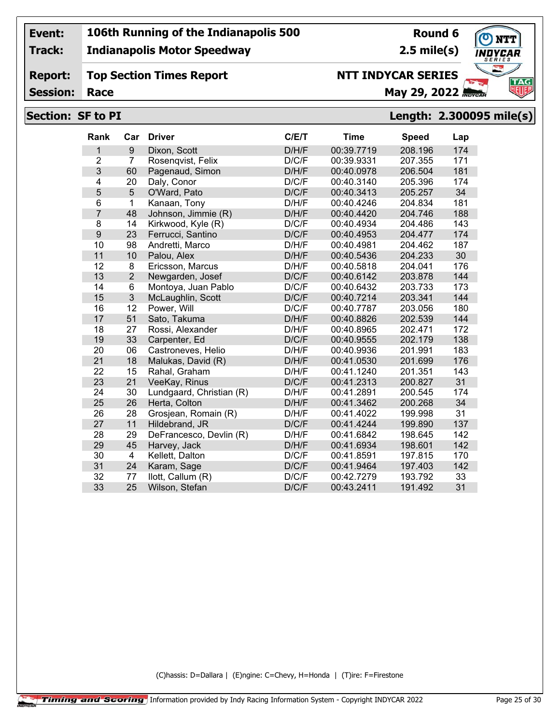**Track:**

**Report:**

#### **Indianapolis Motor Speedway**

**Top Section Times Report**

## **Round 6**

**2.5 mile(s)**



**Session:**

## **NTT INDYCAR SERIES**

**Race May 29, 2022** *May 29, 2022* 

#### **Section: SF to PI Length: 2.300095 mile(s)**

| Rank           | Car            | <b>Driver</b>            | C/E/T | <b>Time</b> | <b>Speed</b> | Lap |
|----------------|----------------|--------------------------|-------|-------------|--------------|-----|
| 1              | 9              | Dixon, Scott             | D/H/F | 00:39.7719  | 208.196      | 174 |
| $\overline{2}$ | $\overline{7}$ | Rosenqvist, Felix        | D/C/F | 00:39.9331  | 207.355      | 171 |
| 3              | 60             | Pagenaud, Simon          | D/H/F | 00:40.0978  | 206.504      | 181 |
| 4              | 20             | Daly, Conor              | D/C/F | 00:40.3140  | 205.396      | 174 |
| 5              | 5              | O'Ward, Pato             | D/C/F | 00:40.3413  | 205.257      | 34  |
| 6              | 1              | Kanaan, Tony             | D/H/F | 00:40.4246  | 204.834      | 181 |
| $\overline{7}$ | 48             | Johnson, Jimmie (R)      | D/H/F | 00:40.4420  | 204.746      | 188 |
| 8              | 14             | Kirkwood, Kyle (R)       | D/C/F | 00:40.4934  | 204.486      | 143 |
| 9              | 23             | Ferrucci, Santino        | D/C/F | 00:40.4953  | 204.477      | 174 |
| 10             | 98             | Andretti, Marco          | D/H/F | 00:40.4981  | 204.462      | 187 |
| 11             | 10             | Palou, Alex              | D/H/F | 00:40.5436  | 204.233      | 30  |
| 12             | 8              | Ericsson, Marcus         | D/H/F | 00:40.5818  | 204.041      | 176 |
| 13             | $\overline{2}$ | Newgarden, Josef         | D/C/F | 00:40.6142  | 203.878      | 144 |
| 14             | 6              | Montoya, Juan Pablo      | D/C/F | 00:40.6432  | 203.733      | 173 |
| 15             | 3              | McLaughlin, Scott        | D/C/F | 00:40.7214  | 203.341      | 144 |
| 16             | 12             | Power, Will              | D/C/F | 00:40.7787  | 203.056      | 180 |
| 17             | 51             | Sato, Takuma             | D/H/F | 00:40.8826  | 202.539      | 144 |
| 18             | 27             | Rossi, Alexander         | D/H/F | 00:40.8965  | 202.471      | 172 |
| 19             | 33             | Carpenter, Ed            | D/C/F | 00:40.9555  | 202.179      | 138 |
| 20             | 06             | Castroneves, Helio       | D/H/F | 00:40.9936  | 201.991      | 183 |
| 21             | 18             | Malukas, David (R)       | D/H/F | 00:41.0530  | 201.699      | 176 |
| 22             | 15             | Rahal, Graham            | D/H/F | 00:41.1240  | 201.351      | 143 |
| 23             | 21             | VeeKay, Rinus            | D/C/F | 00:41.2313  | 200.827      | 31  |
| 24             | 30             | Lundgaard, Christian (R) | D/H/F | 00:41.2891  | 200.545      | 174 |
| 25             | 26             | Herta, Colton            | D/H/F | 00:41.3462  | 200.268      | 34  |
| 26             | 28             | Grosjean, Romain (R)     | D/H/F | 00:41.4022  | 199.998      | 31  |
| 27             | 11             | Hildebrand, JR           | D/C/F | 00:41.4244  | 199.890      | 137 |
| 28             | 29             | DeFrancesco, Devlin (R)  | D/H/F | 00:41.6842  | 198.645      | 142 |
| 29             | 45             | Harvey, Jack             | D/H/F | 00:41.6934  | 198.601      | 142 |
| 30             | 4              | Kellett, Dalton          | D/C/F | 00:41.8591  | 197.815      | 170 |
| 31             | 24             | Karam, Sage              | D/C/F | 00:41.9464  | 197.403      | 142 |
| 32             | 77             | llott, Callum (R)        | D/C/F | 00:42.7279  | 193.792      | 33  |
| 33             | 25             | Wilson, Stefan           | D/C/F | 00:43.2411  | 191.492      | 31  |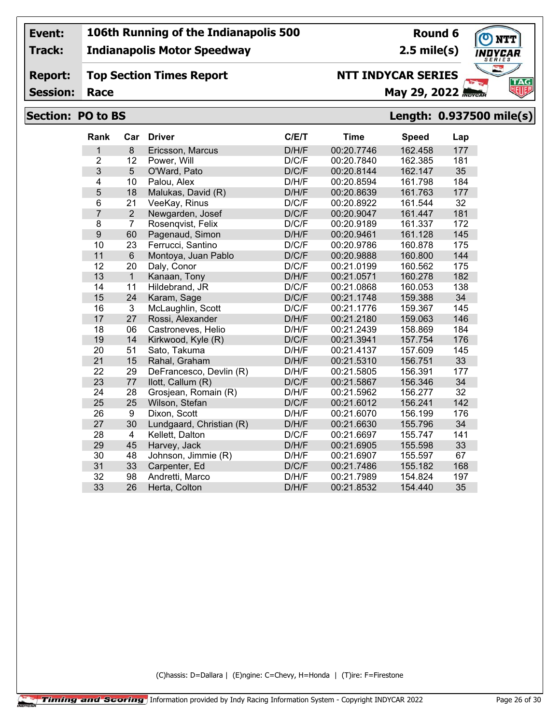**Track:**

**Report:**

#### **Indianapolis Motor Speedway**

## **Top Section Times Report**

**Round 6 2.5 mile(s)**

**TAG** 

**Session:**

## **NTT INDYCAR SERIES**

**Race May 29, 2022** *May 29, 2022* 

#### **Section: PO to BS Length: 0.937500 mile(s)**

| Rank           | Car                     | <b>Driver</b>            | C/E/T | <b>Time</b> | <b>Speed</b> | Lap |
|----------------|-------------------------|--------------------------|-------|-------------|--------------|-----|
| 1              | 8                       | Ericsson, Marcus         | D/H/F | 00:20.7746  | 162.458      | 177 |
| $\overline{2}$ | 12                      | Power, Will              | D/C/F | 00:20.7840  | 162.385      | 181 |
| 3              | 5                       | O'Ward, Pato             | D/C/F | 00:20.8144  | 162.147      | 35  |
| 4              | 10                      | Palou, Alex              | D/H/F | 00:20.8594  | 161.798      | 184 |
| 5              | 18                      | Malukas, David (R)       | D/H/F | 00:20.8639  | 161.763      | 177 |
| 6              | 21                      | VeeKay, Rinus            | D/C/F | 00:20.8922  | 161.544      | 32  |
| $\overline{7}$ | $\overline{2}$          | Newgarden, Josef         | D/C/F | 00:20.9047  | 161.447      | 181 |
| 8              | $\overline{7}$          | Rosenqvist, Felix        | D/C/F | 00:20.9189  | 161.337      | 172 |
| 9              | 60                      | Pagenaud, Simon          | D/H/F | 00:20.9461  | 161.128      | 145 |
| 10             | 23                      | Ferrucci, Santino        | D/C/F | 00:20.9786  | 160.878      | 175 |
| 11             | $6\phantom{a}$          | Montoya, Juan Pablo      | D/C/F | 00:20.9888  | 160.800      | 144 |
| 12             | 20                      | Daly, Conor              | D/C/F | 00:21.0199  | 160.562      | 175 |
| 13             | $\mathbf{1}$            | Kanaan, Tony             | D/H/F | 00:21.0571  | 160.278      | 182 |
| 14             | 11                      | Hildebrand, JR           | D/C/F | 00:21.0868  | 160.053      | 138 |
| 15             | 24                      | Karam, Sage              | D/C/F | 00:21.1748  | 159.388      | 34  |
| 16             | 3                       | McLaughlin, Scott        | D/C/F | 00:21.1776  | 159.367      | 145 |
| 17             | 27                      | Rossi, Alexander         | D/H/F | 00:21.2180  | 159.063      | 146 |
| 18             | 06                      | Castroneves, Helio       | D/H/F | 00:21.2439  | 158.869      | 184 |
| 19             | 14                      | Kirkwood, Kyle (R)       | D/C/F | 00:21.3941  | 157.754      | 176 |
| 20             | 51                      | Sato, Takuma             | D/H/F | 00:21.4137  | 157.609      | 145 |
| 21             | 15                      | Rahal, Graham            | D/H/F | 00:21.5310  | 156.751      | 33  |
| 22             | 29                      | DeFrancesco, Devlin (R)  | D/H/F | 00:21.5805  | 156.391      | 177 |
| 23             | 77                      | llott, Callum (R)        | D/C/F | 00:21.5867  | 156.346      | 34  |
| 24             | 28                      | Grosjean, Romain (R)     | D/H/F | 00:21.5962  | 156.277      | 32  |
| 25             | 25                      | Wilson, Stefan           | D/C/F | 00:21.6012  | 156.241      | 142 |
| 26             | 9                       | Dixon, Scott             | D/H/F | 00:21.6070  | 156.199      | 176 |
| 27             | 30                      | Lundgaard, Christian (R) | D/H/F | 00:21.6630  | 155.796      | 34  |
| 28             | $\overline{\mathbf{4}}$ | Kellett, Dalton          | D/C/F | 00:21.6697  | 155.747      | 141 |
| 29             | 45                      | Harvey, Jack             | D/H/F | 00:21.6905  | 155.598      | 33  |
| 30             | 48                      | Johnson, Jimmie (R)      | D/H/F | 00:21.6907  | 155.597      | 67  |
| 31             | 33                      | Carpenter, Ed            | D/C/F | 00:21.7486  | 155.182      | 168 |
| 32             | 98                      | Andretti, Marco          | D/H/F | 00:21.7989  | 154.824      | 197 |
| 33             | 26                      | Herta, Colton            | D/H/F | 00:21.8532  | 154.440      | 35  |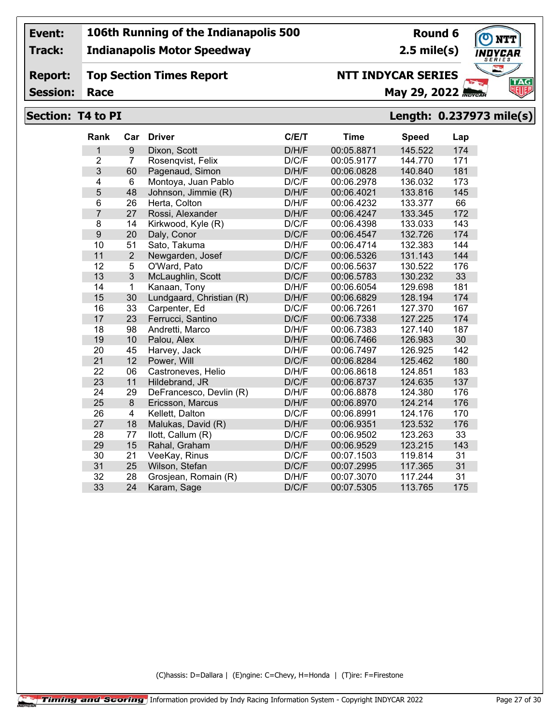**Track:**

**Report:**

#### **Indianapolis Motor Speedway**

**Top Section Times Report**

## **Round 6**

**2.5 mile(s)**



**Session:**

### **NTT INDYCAR SERIES**

**Race May 29, 2022** *May 29, 2022* 

#### **Section: T4 to PI Length: 0.237973 mile(s)**

| <b>Rank</b>      | Car            | <b>Driver</b>            | C/E/T | <b>Time</b> | <b>Speed</b> | Lap |
|------------------|----------------|--------------------------|-------|-------------|--------------|-----|
| 1                | 9              | Dixon, Scott             | D/H/F | 00:05.8871  | 145.522      | 174 |
| $\overline{2}$   | $\overline{7}$ | Rosenqvist, Felix        | D/C/F | 00:05.9177  | 144.770      | 171 |
| 3                | 60             | Pagenaud, Simon          | D/H/F | 00:06.0828  | 140.840      | 181 |
| 4                | 6              | Montoya, Juan Pablo      | D/C/F | 00:06.2978  | 136.032      | 173 |
| 5                | 48             | Johnson, Jimmie (R)      | D/H/F | 00:06.4021  | 133.816      | 145 |
| 6                | 26             | Herta, Colton            | D/H/F | 00:06.4232  | 133.377      | 66  |
| $\overline{7}$   | 27             | Rossi, Alexander         | D/H/F | 00:06.4247  | 133.345      | 172 |
| $\bf 8$          | 14             | Kirkwood, Kyle (R)       | D/C/F | 00:06.4398  | 133.033      | 143 |
| $\boldsymbol{9}$ | 20             | Daly, Conor              | D/C/F | 00:06.4547  | 132.726      | 174 |
| 10               | 51             | Sato, Takuma             | D/H/F | 00:06.4714  | 132.383      | 144 |
| 11               | $\overline{2}$ | Newgarden, Josef         | D/C/F | 00:06.5326  | 131.143      | 144 |
| 12               | 5              | O'Ward, Pato             | D/C/F | 00:06.5637  | 130.522      | 176 |
| 13               | 3              | McLaughlin, Scott        | D/C/F | 00:06.5783  | 130.232      | 33  |
| 14               | 1              | Kanaan, Tony             | D/H/F | 00:06.6054  | 129.698      | 181 |
| 15               | 30             | Lundgaard, Christian (R) | D/H/F | 00:06.6829  | 128.194      | 174 |
| 16               | 33             | Carpenter, Ed            | D/C/F | 00:06.7261  | 127.370      | 167 |
| 17               | 23             | Ferrucci, Santino        | D/C/F | 00:06.7338  | 127.225      | 174 |
| 18               | 98             | Andretti, Marco          | D/H/F | 00:06.7383  | 127.140      | 187 |
| 19               | 10             | Palou, Alex              | D/H/F | 00:06.7466  | 126.983      | 30  |
| 20               | 45             | Harvey, Jack             | D/H/F | 00:06.7497  | 126.925      | 142 |
| 21               | 12             | Power, Will              | D/C/F | 00:06.8284  | 125.462      | 180 |
| 22               | 06             | Castroneves, Helio       | D/H/F | 00:06.8618  | 124.851      | 183 |
| 23               | 11             | Hildebrand, JR           | D/C/F | 00:06.8737  | 124.635      | 137 |
| 24               | 29             | DeFrancesco, Devlin (R)  | D/H/F | 00:06.8878  | 124.380      | 176 |
| 25               | $\bf 8$        | Ericsson, Marcus         | D/H/F | 00:06.8970  | 124.214      | 176 |
| 26               | 4              | Kellett, Dalton          | D/C/F | 00:06.8991  | 124.176      | 170 |
| 27               | 18             | Malukas, David (R)       | D/H/F | 00:06.9351  | 123.532      | 176 |
| 28               | 77             | llott, Callum (R)        | D/C/F | 00:06.9502  | 123.263      | 33  |
| 29               | 15             | Rahal, Graham            | D/H/F | 00:06.9529  | 123.215      | 143 |
| 30               | 21             | VeeKay, Rinus            | D/C/F | 00:07.1503  | 119.814      | 31  |
| 31               | 25             | Wilson, Stefan           | D/C/F | 00:07.2995  | 117.365      | 31  |
| 32               | 28             | Grosjean, Romain (R)     | D/H/F | 00:07.3070  | 117.244      | 31  |
| 33               | 24             | Karam, Sage              | D/C/F | 00:07.5305  | 113.765      | 175 |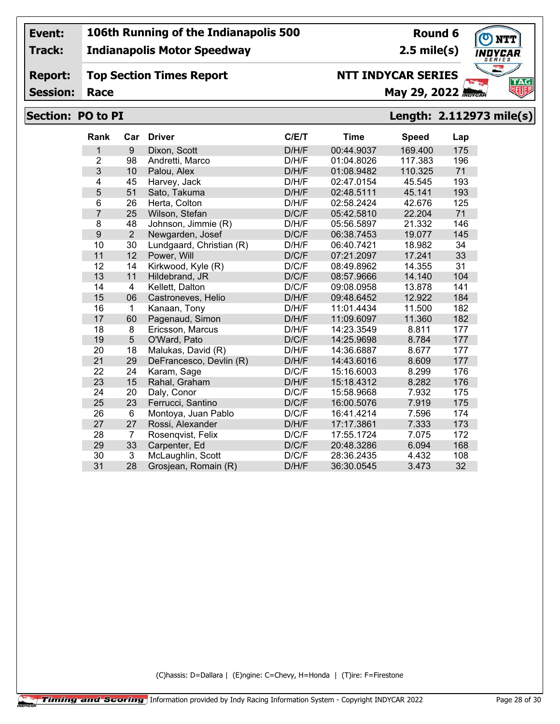**Track:**

#### **Indianapolis Motor Speedway**

**Round 6 2.5 mile(s)**



**Report: Top Section Times Report**

**Session:**

# **NTT INDYCAR SERIES**

**Race May 29, 2022** *May 29, 2022* 

#### **Section: PO to PI Length: 2.112973 mile(s)**

| Rank           | Car            | <b>Driver</b>            | C/E/T | <b>Time</b> | <b>Speed</b> | Lap |
|----------------|----------------|--------------------------|-------|-------------|--------------|-----|
| 1              | 9              | Dixon, Scott             | D/H/F | 00:44.9037  | 169.400      | 175 |
| $\overline{2}$ | 98             | Andretti, Marco          | D/H/F | 01:04.8026  | 117.383      | 196 |
| 3              | 10             | Palou, Alex              | D/H/F | 01:08.9482  | 110.325      | 71  |
| 4              | 45             | Harvey, Jack             | D/H/F | 02:47.0154  | 45.545       | 193 |
| 5              | 51             | Sato, Takuma             | D/H/F | 02:48.5111  | 45.141       | 193 |
| 6              | 26             | Herta, Colton            | D/H/F | 02:58.2424  | 42.676       | 125 |
| $\overline{7}$ | 25             | Wilson, Stefan           | D/C/F | 05:42.5810  | 22.204       | 71  |
| 8              | 48             | Johnson, Jimmie (R)      | D/H/F | 05:56.5897  | 21.332       | 146 |
| 9              | $\overline{2}$ | Newgarden, Josef         | D/C/F | 06:38.7453  | 19.077       | 145 |
| 10             | 30             | Lundgaard, Christian (R) | D/H/F | 06:40.7421  | 18.982       | 34  |
| 11             | 12             | Power, Will              | D/C/F | 07:21.2097  | 17.241       | 33  |
| 12             | 14             | Kirkwood, Kyle (R)       | D/C/F | 08:49.8962  | 14.355       | 31  |
| 13             | 11             | Hildebrand, JR           | D/C/F | 08:57.9666  | 14.140       | 104 |
| 14             | 4              | Kellett, Dalton          | D/C/F | 09:08.0958  | 13.878       | 141 |
| 15             | 06             | Castroneves, Helio       | D/H/F | 09:48.6452  | 12.922       | 184 |
| 16             | 1              | Kanaan, Tony             | D/H/F | 11:01.4434  | 11.500       | 182 |
| 17             | 60             | Pagenaud, Simon          | D/H/F | 11:09.6097  | 11.360       | 182 |
| 18             | 8              | Ericsson, Marcus         | D/H/F | 14:23.3549  | 8.811        | 177 |
| 19             | 5              | O'Ward, Pato             | D/C/F | 14:25.9698  | 8.784        | 177 |
| 20             | 18             | Malukas, David (R)       | D/H/F | 14:36.6887  | 8.677        | 177 |
| 21             | 29             | DeFrancesco, Devlin (R)  | D/H/F | 14:43.6016  | 8.609        | 177 |
| 22             | 24             | Karam, Sage              | D/C/F | 15:16.6003  | 8.299        | 176 |
| 23             | 15             | Rahal, Graham            | D/H/F | 15:18.4312  | 8.282        | 176 |
| 24             | 20             | Daly, Conor              | D/C/F | 15:58.9668  | 7.932        | 175 |
| 25             | 23             | Ferrucci, Santino        | D/C/F | 16:00.5076  | 7.919        | 175 |
| 26             | $6\phantom{1}$ | Montoya, Juan Pablo      | D/C/F | 16:41.4214  | 7.596        | 174 |
| 27             | 27             | Rossi, Alexander         | D/H/F | 17:17.3861  | 7.333        | 173 |
| 28             | $\overline{7}$ | Rosenqvist, Felix        | D/C/F | 17:55.1724  | 7.075        | 172 |
| 29             | 33             | Carpenter, Ed            | D/C/F | 20:48.3286  | 6.094        | 168 |
| 30             | 3              | McLaughlin, Scott        | D/C/F | 28:36.2435  | 4.432        | 108 |
| 31             | 28             | Grosjean, Romain (R)     | D/H/F | 36:30.0545  | 3.473        | 32  |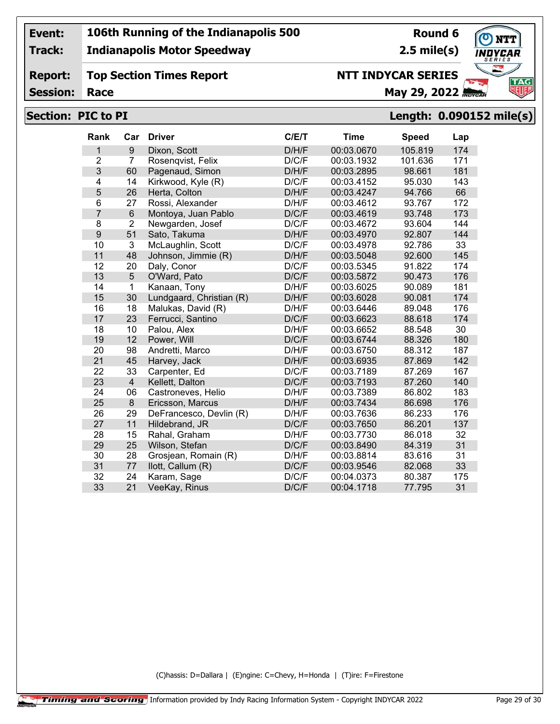**Track:**

**Report:**

#### **Indianapolis Motor Speedway**

**Top Section Times Report**

## **Round 6**

**2.5 mile(s)**



**Session:**

## **NTT INDYCAR SERIES**

**Race May 29, 2022** *May 29, 2022* 

#### **Section: PIC to PI Length: 0.090152 mile(s)**

| <b>Rank</b>             | Car                     | <b>Driver</b>            | C/E/T | <b>Time</b> | <b>Speed</b> | Lap |
|-------------------------|-------------------------|--------------------------|-------|-------------|--------------|-----|
| $\mathbf{1}$            | 9                       | Dixon, Scott             | D/H/F | 00:03.0670  | 105.819      | 174 |
| $\overline{2}$          | 7                       | Rosenqvist, Felix        | D/C/F | 00:03.1932  | 101.636      | 171 |
| 3                       | 60                      | Pagenaud, Simon          | D/H/F | 00:03.2895  | 98.661       | 181 |
| $\overline{\mathbf{4}}$ | 14                      | Kirkwood, Kyle (R)       | D/C/F | 00:03.4152  | 95.030       | 143 |
| 5                       | 26                      | Herta, Colton            | D/H/F | 00:03.4247  | 94.766       | 66  |
| 6                       | 27                      | Rossi, Alexander         | D/H/F | 00:03.4612  | 93.767       | 172 |
| $\overline{7}$          | $\,6$                   | Montoya, Juan Pablo      | D/C/F | 00:03.4619  | 93.748       | 173 |
| 8                       | $\overline{2}$          | Newgarden, Josef         | D/C/F | 00:03.4672  | 93.604       | 144 |
| 9                       | 51                      | Sato, Takuma             | D/H/F | 00:03.4970  | 92.807       | 144 |
| 10                      | $\overline{3}$          | McLaughlin, Scott        | D/C/F | 00:03.4978  | 92.786       | 33  |
| 11                      | 48                      | Johnson, Jimmie (R)      | D/H/F | 00:03.5048  | 92.600       | 145 |
| 12                      | 20                      | Daly, Conor              | D/C/F | 00:03.5345  | 91.822       | 174 |
| 13                      | 5                       | O'Ward, Pato             | D/C/F | 00:03.5872  | 90.473       | 176 |
| 14                      | 1                       | Kanaan, Tony             | D/H/F | 00:03.6025  | 90.089       | 181 |
| 15                      | 30                      | Lundgaard, Christian (R) | D/H/F | 00:03.6028  | 90.081       | 174 |
| 16                      | 18                      | Malukas, David (R)       | D/H/F | 00:03.6446  | 89.048       | 176 |
| 17                      | 23                      | Ferrucci, Santino        | D/C/F | 00:03.6623  | 88.618       | 174 |
| 18                      | 10                      | Palou, Alex              | D/H/F | 00:03.6652  | 88.548       | 30  |
| 19                      | 12                      | Power, Will              | D/C/F | 00:03.6744  | 88.326       | 180 |
| 20                      | 98                      | Andretti, Marco          | D/H/F | 00:03.6750  | 88.312       | 187 |
| 21                      | 45                      | Harvey, Jack             | D/H/F | 00:03.6935  | 87.869       | 142 |
| 22                      | 33                      | Carpenter, Ed            | D/C/F | 00:03.7189  | 87.269       | 167 |
| 23                      | $\overline{\mathbf{4}}$ | Kellett, Dalton          | D/C/F | 00:03.7193  | 87.260       | 140 |
| 24                      | 06                      | Castroneves, Helio       | D/H/F | 00:03.7389  | 86.802       | 183 |
| 25                      | 8                       | Ericsson, Marcus         | D/H/F | 00:03.7434  | 86.698       | 176 |
| 26                      | 29                      | DeFrancesco, Devlin (R)  | D/H/F | 00:03.7636  | 86.233       | 176 |
| 27                      | 11                      | Hildebrand, JR           | D/C/F | 00:03.7650  | 86.201       | 137 |
| 28                      | 15                      | Rahal, Graham            | D/H/F | 00:03.7730  | 86.018       | 32  |
| 29                      | 25                      | Wilson, Stefan           | D/C/F | 00:03.8490  | 84.319       | 31  |
| 30                      | 28                      | Grosjean, Romain (R)     | D/H/F | 00:03.8814  | 83.616       | 31  |
| 31                      | 77                      | llott, Callum (R)        | D/C/F | 00:03.9546  | 82.068       | 33  |
| 32                      | 24                      | Karam, Sage              | D/C/F | 00:04.0373  | 80.387       | 175 |
| 33                      | 21                      | VeeKay, Rinus            | D/C/F | 00:04.1718  | 77.795       | 31  |